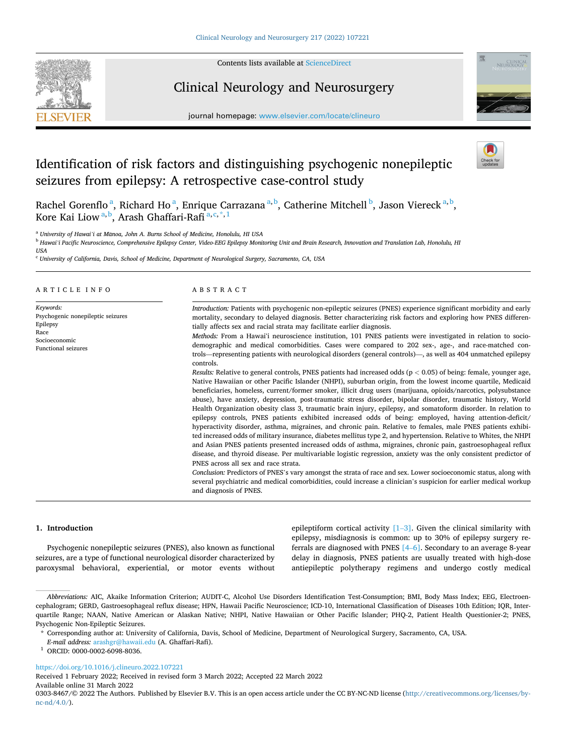

Contents lists available at [ScienceDirect](www.sciencedirect.com/science/journal/03038467)

# Clinical Neurology and Neurosurgery





# Identification of risk factors and distinguishing psychogenic nonepileptic seizures from epilepsy: A retrospective case-control study



Rachel Gorenflo<sup>a</sup>, Richard Ho<sup>a</sup>, Enrique Carrazana<sup>a, b</sup>, Catherine Mitchell <sup>b</sup>, Jason Viereck<sup>a, b</sup>, Kore Kai Liow<sup>a, b</sup>, Arash Ghaffari-Rafi<sup>a, c, \*, 1</sup>

<sup>a</sup> University of Hawai<sup>'</sup>i at Manoa, John A. Burns School of Medicine, Honolulu, HI USA

<sup>b</sup> *Hawai'i Pacific Neuroscience, Comprehensive Epilepsy Center, Video-EEG Epilepsy Monitoring Unit and Brain Research, Innovation and Translation Lab, Honolulu, HI* 

<sup>c</sup> *University of California, Davis, School of Medicine, Department of Neurological Surgery, Sacramento, CA, USA* 

# ARTICLE INFO

*Keywords:*  Psychogenic nonepileptic seizures Epilepsy Race Socioeconomic Functional seizures

# ABSTRACT

*Introduction:* Patients with psychogenic non-epileptic seizures (PNES) experience significant morbidity and early mortality, secondary to delayed diagnosis. Better characterizing risk factors and exploring how PNES differentially affects sex and racial strata may facilitate earlier diagnosis.

*Methods:* From a Hawaiʻi neuroscience institution, 101 PNES patients were investigated in relation to sociodemographic and medical comorbidities. Cases were compared to 202 sex-, age-, and race-matched controls—representing patients with neurological disorders (general controls)—, as well as 404 unmatched epilepsy controls.

*Results:* Relative to general controls, PNES patients had increased odds (p *<* 0.05) of being: female, younger age, Native Hawaiian or other Pacific Islander (NHPI), suburban origin, from the lowest income quartile, Medicaid beneficiaries, homeless, current/former smoker, illicit drug users (marijuana, opioids/narcotics, polysubstance abuse), have anxiety, depression, post-traumatic stress disorder, bipolar disorder, traumatic history, World Health Organization obesity class 3, traumatic brain injury, epilepsy, and somatoform disorder. In relation to epilepsy controls, PNES patients exhibited increased odds of being: employed, having attention-deficit/ hyperactivity disorder, asthma, migraines, and chronic pain. Relative to females, male PNES patients exhibited increased odds of military insurance, diabetes mellitus type 2, and hypertension. Relative to Whites, the NHPI and Asian PNES patients presented increased odds of asthma, migraines, chronic pain, gastroesophageal reflux disease, and thyroid disease. Per multivariable logistic regression, anxiety was the only consistent predictor of PNES across all sex and race strata.

*Conclusion:* Predictors of PNES's vary amongst the strata of race and sex. Lower socioeconomic status, along with several psychiatric and medical comorbidities, could increase a clinician's suspicion for earlier medical workup and diagnosis of PNES.

#### **1. Introduction**

Psychogenic nonepileptic seizures (PNES), also known as functional seizures, are a type of functional neurological disorder characterized by paroxysmal behavioral, experiential, or motor events without epileptiform cortical activity  $[1-3]$  $[1-3]$ . Given the clinical similarity with epilepsy, misdiagnosis is common: up to 30% of epilepsy surgery referrals are diagnosed with PNES [\[4](#page-11-0)–6]. Secondary to an average 8-year delay in diagnosis, PNES patients are usually treated with high-dose antiepileptic polytherapy regimens and undergo costly medical

*E-mail address:* [arashgr@hawaii.edu](mailto:arashgr@hawaii.edu) (A. Ghaffari-Rafi). 1 ORCID: 0000-0002-6098-8036.

<https://doi.org/10.1016/j.clineuro.2022.107221>

Available online 31 March 2022 Received 1 February 2022; Received in revised form 3 March 2022; Accepted 22 March 2022

0303-8467/© 2022 The Authors. Published by Elsevier B.V. This is an open access article under the CC BY-NC-ND license([http://creativecommons.org/licenses/by](http://creativecommons.org/licenses/by-nc-nd/4.0/) $nc\text{-}nd/4.0/$ ).

*USA* 

*Abbreviations:* AIC, Akaike Information Criterion; AUDIT-C, Alcohol Use Disorders Identification Test-Consumption; BMI, Body Mass Index; EEG, Electroencephalogram; GERD, Gastroesophageal reflux disease; HPN, Hawaii Pacific Neuroscience; ICD-10, International Classification of Diseases 10th Edition; IQR, Interquartile Range; NAAN, Native American or Alaskan Native; NHPI, Native Hawaiian or Other Pacific Islander; PHQ-2, Patient Health Questionier-2; PNES, Psychogenic Non-Epileptic Seizures.

<sup>\*</sup> Corresponding author at: University of California, Davis, School of Medicine, Department of Neurological Surgery, Sacramento, CA, USA.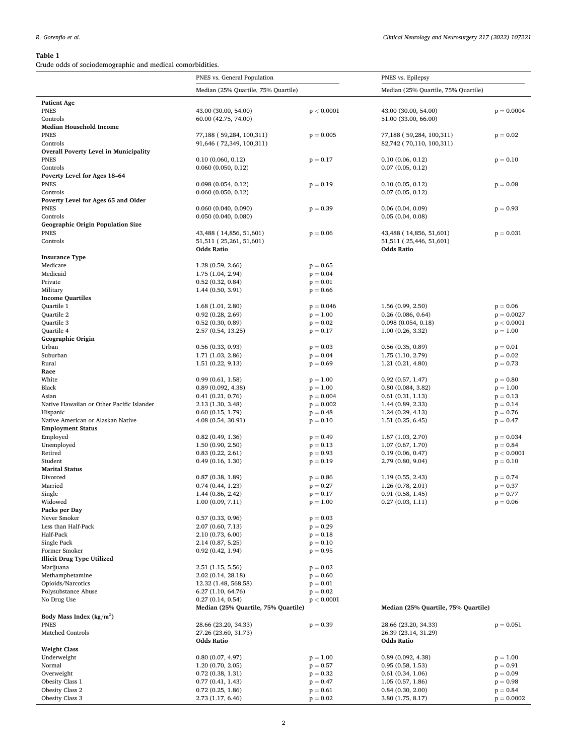<span id="page-1-0"></span>**Table 1**<br>Crude odds of socioder Crude odds of sociodemographic and medical comorbidities.

| Crude odds of sociodemographic and medical comorbidities. | PNES vs. General Population                  |                            | PNES vs. Epilepsy                            |                          |  |  |
|-----------------------------------------------------------|----------------------------------------------|----------------------------|----------------------------------------------|--------------------------|--|--|
|                                                           | Median (25% Quartile, 75% Quartile)          |                            | Median (25% Quartile, 75% Quartile)          |                          |  |  |
|                                                           |                                              |                            |                                              |                          |  |  |
| <b>Patient Age</b><br><b>PNES</b>                         | 43.00 (30.00, 54.00)                         | p < 0.0001                 | 43.00 (30.00, 54.00)                         | $p = 0.0004$             |  |  |
| Controls                                                  | 60.00 (42.75, 74.00)                         |                            | 51.00 (33.00, 66.00)                         |                          |  |  |
| <b>Median Household Income</b>                            |                                              |                            |                                              |                          |  |  |
| <b>PNES</b>                                               | 77,188 (59,284, 100,311)                     | $p = 0.005$                | 77,188 (59,284, 100,311)                     | $p = 0.02$               |  |  |
| Controls                                                  | 91,646 (72,349, 100,311)                     |                            | 82,742 (70,110, 100,311)                     |                          |  |  |
| <b>Overall Poverty Level in Municipality</b>              |                                              |                            |                                              |                          |  |  |
| <b>PNES</b><br>Controls                                   | 0.10(0.060, 0.12)<br>0.060(0.050, 0.12)      | $p = 0.17$                 | 0.10(0.06, 0.12)                             | $p = 0.10$               |  |  |
| Poverty Level for Ages 18-64                              |                                              |                            | 0.07(0.05, 0.12)                             |                          |  |  |
| <b>PNES</b>                                               | 0.098(0.054, 0.12)                           | $p = 0.19$                 | 0.10(0.05, 0.12)                             | $p = 0.08$               |  |  |
| Controls                                                  | 0.060(0.050, 0.12)                           |                            | 0.07(0.05, 0.12)                             |                          |  |  |
| Poverty Level for Ages 65 and Older                       |                                              |                            |                                              |                          |  |  |
| <b>PNES</b>                                               | $0.060$ $(0.040, 0.090)$                     | $p = 0.39$                 | 0.06(0.04, 0.09)                             | $p = 0.93$               |  |  |
| Controls                                                  | 0.050(0.040, 0.080)                          |                            | 0.05(0.04, 0.08)                             |                          |  |  |
| <b>Geographic Origin Population Size</b>                  |                                              |                            |                                              |                          |  |  |
| <b>PNES</b><br>Controls                                   | 43,488 (14,856, 51,601)                      | $p = 0.06$                 | 43,488 (14,856, 51,601)                      | $p = 0.031$              |  |  |
|                                                           | 51,511 (25,261, 51,601)<br><b>Odds Ratio</b> |                            | 51,511 (25,446, 51,601)<br><b>Odds Ratio</b> |                          |  |  |
| <b>Insurance Type</b>                                     |                                              |                            |                                              |                          |  |  |
| Medicare                                                  | 1.28(0.59, 2.66)                             | $p = 0.65$                 |                                              |                          |  |  |
| Medicaid                                                  | 1.75 (1.04, 2.94)                            | $p = 0.04$                 |                                              |                          |  |  |
| Private                                                   | 0.52(0.32, 0.84)                             | $p = 0.01$                 |                                              |                          |  |  |
| Military                                                  | 1.44(0.50, 3.91)                             | $p = 0.66$                 |                                              |                          |  |  |
| <b>Income Quartiles</b>                                   |                                              |                            |                                              |                          |  |  |
| Quartile 1                                                | 1.68(1.01, 2.80)                             | $p = 0.046$                | 1.56(0.99, 2.50)                             | $p = 0.06$               |  |  |
| Quartile 2<br>Quartile 3                                  | 0.92(0.28, 2.69)<br>0.52(0.30, 0.89)         | $p = 1.00$<br>$p = 0.02$   | 0.26(0.086, 0.64)<br>0.098(0.054, 0.18)      | $p = 0.0027$             |  |  |
| Quartile 4                                                | 2.57 (0.54, 13.25)                           | $p = 0.17$                 | 1.00(0.26, 3.32)                             | p < 0.0001<br>$p = 1.00$ |  |  |
| Geographic Origin                                         |                                              |                            |                                              |                          |  |  |
| Urban                                                     | 0.56(0.33, 0.93)                             | $p = 0.03$                 | 0.56(0.35, 0.89)                             | $p = 0.01$               |  |  |
| Suburban                                                  | 1.71 (1.03, 2.86)                            | $p = 0.04$                 | 1.75 (1.10, 2.79)                            | $p = 0.02$               |  |  |
| Rural                                                     | 1.51(0.22, 9.13)                             | $p = 0.69$                 | 1.21(0.21, 4.80)                             | $p = 0.73$               |  |  |
| Race                                                      |                                              |                            |                                              |                          |  |  |
| White                                                     | 0.99(0.61, 1.58)                             | $p = 1.00$                 | 0.92(0.57, 1.47)                             | $p = 0.80$               |  |  |
| Black                                                     | 0.89(0.092, 4.38)                            | $p = 1.00$                 | 0.80(0.084, 3.82)                            | $p = 1.00$               |  |  |
| Asian<br>Native Hawaiian or Other Pacific Islander        | 0.41(0.21, 0.76)<br>2.13 (1.30, 3.48)        | $p = 0.004$<br>$p = 0.002$ | 0.61(0.31, 1.13)<br>1.44(0.89, 2.33)         | $p = 0.13$<br>$p = 0.14$ |  |  |
| Hispanic                                                  | 0.60(0.15, 1.79)                             | $p = 0.48$                 | 1.24(0.29, 4.13)                             | $p = 0.76$               |  |  |
| Native American or Alaskan Native                         | 4.08 (0.54, 30.91)                           | $p = 0.10$                 | 1.51(0.25, 6.45)                             | $p = 0.47$               |  |  |
| <b>Employment Status</b>                                  |                                              |                            |                                              |                          |  |  |
| Employed                                                  | 0.82(0.49, 1.36)                             | $p = 0.49$                 | 1.67(1.03, 2.70)                             | $p = 0.034$              |  |  |
| Unemployed                                                | 1.50(0.90, 2.50)                             | $p = 0.13$                 | 1.07(0.67, 1.70)                             | $p = 0.84$               |  |  |
| Retired                                                   | 0.83(0.22, 2.61)                             | $p = 0.93$                 | 0.19(0.06, 0.47)                             | p < 0.0001               |  |  |
| Student                                                   | 0.49(0.16, 1.30)                             | $p = 0.19$                 | 2.79 (0.80, 9.04)                            | $p = 0.10$               |  |  |
| <b>Marital Status</b><br>Divorced                         | 0.87(0.38, 1.89)                             | $p = 0.86$                 | 1.19 (0.55, 2.43)                            | $p = 0.74$               |  |  |
| Married                                                   | 0.74(0.44, 1.23)                             | $p = 0.27$                 | 1.26(0.78, 2.01)                             | $p = 0.37$               |  |  |
| Single                                                    | 1.44(0.86, 2.42)                             | $p = 0.17$                 | 0.91(0.58, 1.45)                             | $p = 0.77$               |  |  |
| Widowed                                                   | 1.00(0.09, 7.11)                             | $p = 1.00$                 | 0.27(0.03, 1.11)                             | $p = 0.06$               |  |  |
| Packs per Day                                             |                                              |                            |                                              |                          |  |  |
| Never Smoker                                              | 0.57(0.33, 0.96)                             | $p = 0.03$                 |                                              |                          |  |  |
| Less than Half-Pack                                       | 2.07 (0.60, 7.13)                            | $p = 0.29$                 |                                              |                          |  |  |
| Half-Pack                                                 | 2.10 (0.73, 6.00)                            | $p = 0.18$                 |                                              |                          |  |  |
| Single Pack<br>Former Smoker                              | 2.14 (0.87, 5.25)<br>0.92(0.42, 1.94)        | $p = 0.10$<br>$p = 0.95$   |                                              |                          |  |  |
| <b>Illicit Drug Type Utilized</b>                         |                                              |                            |                                              |                          |  |  |
| Marijuana                                                 | 2.51 (1.15, 5.56)                            | $p = 0.02$                 |                                              |                          |  |  |
| Methamphetamine                                           | 2.02 (0.14, 28.18)                           | $p = 0.60$                 |                                              |                          |  |  |
| Opioids/Narcotics                                         | 12.32 (1.48, 568.58)                         | $p = 0.01$                 |                                              |                          |  |  |
| Polysubstance Abuse                                       | 6.27 (1.10, 64.76)                           | $p = 0.02$                 |                                              |                          |  |  |
| No Drug Use                                               | 0.27(0.14, 0.54)                             | p < 0.0001                 |                                              |                          |  |  |
|                                                           | Median (25% Quartile, 75% Quartile)          |                            | Median (25% Quartile, 75% Quartile)          |                          |  |  |
| Body Mass Index ( $\text{kg/m}^2$ )                       |                                              |                            |                                              |                          |  |  |
| <b>PNES</b><br>Matched Controls                           | 28.66 (23.20, 34.33)<br>27.26 (23.60, 31.73) | $p = 0.39$                 | 28.66 (23.20, 34.33)<br>26.39 (23.14, 31.29) | $p = 0.051$              |  |  |
|                                                           | <b>Odds Ratio</b>                            |                            | <b>Odds Ratio</b>                            |                          |  |  |
| <b>Weight Class</b>                                       |                                              |                            |                                              |                          |  |  |
| Underweight                                               | 0.80(0.07, 4.97)                             | $p = 1.00$                 | 0.89(0.092, 4.38)                            | $p = 1.00$               |  |  |
| Normal                                                    | 1.20 (0.70, 2.05)                            | $p = 0.57$                 | 0.95(0.58, 1.53)                             | $p = 0.91$               |  |  |
| Overweight                                                | 0.72(0.38, 1.31)                             | $p = 0.32$                 | 0.61(0.34, 1.06)                             | $p = 0.09$               |  |  |
| Obesity Class 1                                           | 0.77(0.41, 1.43)                             | $p = 0.47$                 | 1.05(0.57, 1.86)                             | $p = 0.98$               |  |  |
| Obesity Class 2                                           | 0.72(0.25, 1.86)                             | $p = 0.61$                 | 0.84(0.30, 2.00)                             | $p = 0.84$               |  |  |
| Obesity Class 3                                           | 2.73 (1.17, 6.46)                            | $p = 0.02$                 | 3.80 (1.75, 8.17)                            | $p = 0.0002$             |  |  |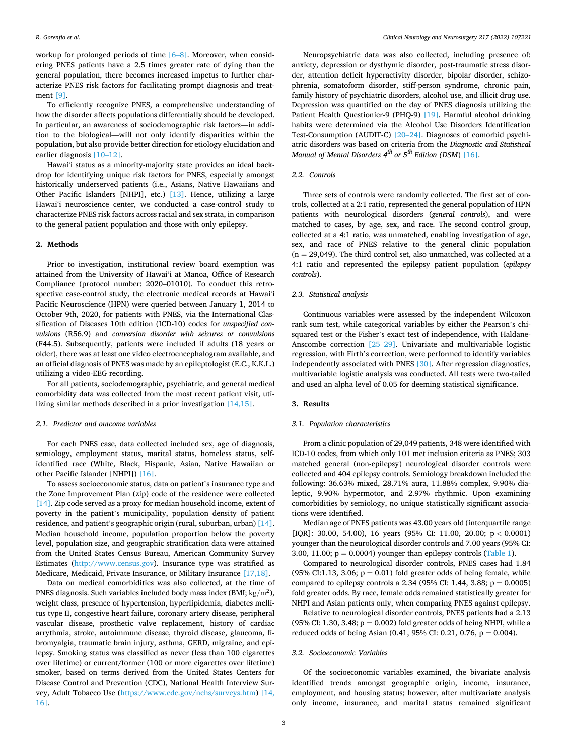workup for prolonged periods of time  $[6–8]$ . Moreover, when considering PNES patients have a 2.5 times greater rate of dying than the general population, there becomes increased impetus to further characterize PNES risk factors for facilitating prompt diagnosis and treatment [\[9\]](#page-11-0).

To efficiently recognize PNES, a comprehensive understanding of how the disorder affects populations differentially should be developed. In particular, an awareness of sociodemographic risk factors—in addition to the biological—will not only identify disparities within the population, but also provide better direction for etiology elucidation and earlier diagnosis [10–[12\].](#page-11-0)

Hawaiʻi status as a minority-majority state provides an ideal backdrop for identifying unique risk factors for PNES, especially amongst historically underserved patients (i.e., Asians, Native Hawaiians and Other Pacific Islanders [NHPI], etc.) [\[13\].](#page-11-0) Hence, utilizing a large Hawaiʻi neuroscience center, we conducted a case-control study to characterize PNES risk factors across racial and sex strata, in comparison to the general patient population and those with only epilepsy.

# **2. Methods**

Prior to investigation, institutional review board exemption was attained from the University of Hawai'i at Manoa, Office of Research Compliance (protocol number: 2020–01010). To conduct this retrospective case-control study, the electronic medical records at Hawaiʻi Pacific Neuroscience (HPN) were queried between January 1, 2014 to October 9th, 2020, for patients with PNES, via the International Classification of Diseases 10th edition (ICD-10) codes for *unspecified convulsions* (R56.9) and *conversion disorder with seizures or convulsions*  (F44.5). Subsequently, patients were included if adults (18 years or older), there was at least one video electroencephalogram available, and an official diagnosis of PNES was made by an epileptologist (E.C., K.K.L.) utilizing a video-EEG recording.

For all patients, sociodemographic, psychiatric, and general medical comorbidity data was collected from the most recent patient visit, utilizing similar methods described in a prior investigation [\[14,15\]](#page-11-0).

# *2.1. Predictor and outcome variables*

For each PNES case, data collected included sex, age of diagnosis, semiology, employment status, marital status, homeless status, selfidentified race (White, Black, Hispanic, Asian, Native Hawaiian or other Pacific Islander [NHPI]) [\[16\].](#page-12-0)

To assess socioeconomic status, data on patient's insurance type and the Zone Improvement Plan (zip) code of the residence were collected [\[14\]](#page-11-0). Zip code served as a proxy for median household income, extent of poverty in the patient's municipality, population density of patient residence, and patient's geographic origin (rural, suburban, urban) [\[14\]](#page-11-0). Median household income, population proportion below the poverty level, population size, and geographic stratification data were attained from the United States Census Bureau, American Community Survey Estimates [\(http://www.census.gov\)](http://www.census.gov). Insurance type was stratified as Medicare, Medicaid, Private Insurance, or Military Insurance [\[17,18\]](#page-12-0).

Data on medical comorbidities was also collected, at the time of PNES diagnosis. Such variables included body mass index (BMI; kg*/*m2), weight class, presence of hypertension, hyperlipidemia, diabetes mellitus type II, congestive heart failure, coronary artery disease, peripheral vascular disease, prosthetic valve replacement, history of cardiac arrythmia, stroke, autoimmune disease, thyroid disease, glaucoma, fibromyalgia, traumatic brain injury, asthma, GERD, migraine, and epilepsy. Smoking status was classified as never (less than 100 cigarettes over lifetime) or current/former (100 or more cigarettes over lifetime) smoker, based on terms derived from the United States Centers for Disease Control and Prevention (CDC), National Health Interview Survey, Adult Tobacco Use ([https://www.cdc.gov/nchs/surveys.htm\)](https://www.cdc.gov/nchs/surveys.htm) [\[14,](#page-11-0)  [16\].](#page-11-0)

Neuropsychiatric data was also collected, including presence of: anxiety, depression or dysthymic disorder, post-traumatic stress disorder, attention deficit hyperactivity disorder, bipolar disorder, schizophrenia, somatoform disorder, stiff-person syndrome, chronic pain, family history of psychiatric disorders, alcohol use, and illicit drug use. Depression was quantified on the day of PNES diagnosis utilizing the Patient Health Questionier-9 (PHQ-9) [\[19\].](#page-12-0) Harmful alcohol drinking habits were determined via the Alcohol Use Disorders Identification Test-Consumption (AUDIT-C) [20–[24\].](#page-12-0) Diagnoses of comorbid psychiatric disorders was based on criteria from the *Diagnostic and Statistical Manual of Mental Disorders 4<sup>th</sup> or 5<sup>th</sup> Edition (DSM)* [\[16\]](#page-12-0).

#### *2.2. Controls*

Three sets of controls were randomly collected. The first set of controls, collected at a 2:1 ratio, represented the general population of HPN patients with neurological disorders (*general controls*), and were matched to cases, by age, sex, and race. The second control group, collected at a 4:1 ratio, was unmatched, enabling investigation of age, sex, and race of PNES relative to the general clinic population  $(n = 29,049)$ . The third control set, also unmatched, was collected at a 4:1 ratio and represented the epilepsy patient population (*epilepsy controls*).

# *2.3. Statistical analysis*

Continuous variables were assessed by the independent Wilcoxon rank sum test, while categorical variables by either the Pearson's chisquared test or the Fisher's exact test of independence, with Haldane-Anscombe correction [25–[29\].](#page-12-0) Univariate and multivariable logistic regression, with Firth's correction, were performed to identify variables independently associated with PNES [\[30\]](#page-12-0). After regression diagnostics, multivariable logistic analysis was conducted. All tests were two-tailed and used an alpha level of 0.05 for deeming statistical significance.

#### **3. Results**

#### *3.1. Population characteristics*

From a clinic population of 29,049 patients, 348 were identified with ICD-10 codes, from which only 101 met inclusion criteria as PNES; 303 matched general (non-epilepsy) neurological disorder controls were collected and 404 epilepsy controls. Semiology breakdown included the following: 36.63% mixed, 28.71% aura, 11.88% complex, 9.90% dialeptic, 9.90% hypermotor, and 2.97% rhythmic. Upon examining comorbidities by semiology, no unique statistically significant associations were identified.

Median age of PNES patients was 43.00 years old (interquartile range [IQR]: 30.00, 54.00), 16 years (95% CI: 11.00, 20.00; p *<* 0.0001) younger than the neurological disorder controls and 7.00 years (95% CI: 3.00, 11.00;  $p = 0.0004$ ) younger than epilepsy controls [\(Table 1\)](#page-1-0).

Compared to neurological disorder controls, PNES cases had 1.84 (95% CI:1.13, 3.06;  $p = 0.01$ ) fold greater odds of being female, while compared to epilepsy controls a 2.34 (95% CI: 1.44, 3.88;  $p = 0.0005$ ) fold greater odds. By race, female odds remained statistically greater for NHPI and Asian patients only, when comparing PNES against epilepsy.

Relative to neurological disorder controls, PNES patients had a 2.13 (95% CI: 1.30, 3.48;  $p = 0.002$ ) fold greater odds of being NHPI, while a reduced odds of being Asian (0.41, 95% CI: 0.21, 0.76,  $p = 0.004$ ).

# *3.2. Socioeconomic Variables*

Of the socioeconomic variables examined, the bivariate analysis identified trends amongst geographic origin, income, insurance, employment, and housing status; however, after multivariate analysis only income, insurance, and marital status remained significant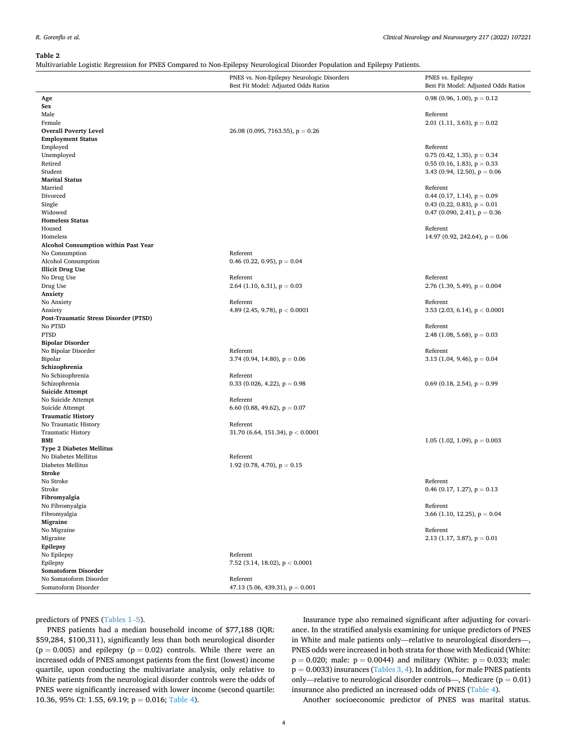#### <span id="page-3-0"></span>*R. Gorenflo et al.*

#### **Table 2**

Multivariable Logistic Regression for PNES Compared to Non-Epilepsy Neurological Disorder Population and Epilepsy Patients.

|                                       | $\overline{\phantom{a}}$<br>ັ                                                      |                                                           |
|---------------------------------------|------------------------------------------------------------------------------------|-----------------------------------------------------------|
|                                       | PNES vs. Non-Epilepsy Neurologic Disorders<br>Best Fit Model: Adjusted Odds Ratios | PNES vs. Epilepsy<br>Best Fit Model: Adjusted Odds Ratios |
| Age                                   |                                                                                    | 0.98 (0.96, 1.00), $p = 0.12$                             |
| Sex                                   |                                                                                    |                                                           |
| Male                                  |                                                                                    | Referent                                                  |
| Female                                |                                                                                    | 2.01 (1.11, 3.63), $p = 0.02$                             |
| <b>Overall Poverty Level</b>          | $26.08$ (0.095, 7163.55), $p = 0.26$                                               |                                                           |
| <b>Employment Status</b>              |                                                                                    |                                                           |
| Employed                              |                                                                                    | Referent                                                  |
| Unemployed                            |                                                                                    | $0.75$ (0.42, 1.35), $p = 0.34$                           |
| Retired                               |                                                                                    | $0.55$ (0.16, 1.83), $p = 0.33$                           |
| Student                               |                                                                                    | 3.43 (0.94, 12.50), $p = 0.06$                            |
| <b>Marital Status</b>                 |                                                                                    |                                                           |
| Married                               |                                                                                    | Referent                                                  |
| Divorced                              |                                                                                    | 0.44 (0.17, 1.14), $p = 0.09$                             |
| Single                                |                                                                                    | 0.43 (0.22, 0.83), $p = 0.01$                             |
| Widowed                               |                                                                                    | 0.47 (0.090, 2.41), $p = 0.36$                            |
| <b>Homeless Status</b>                |                                                                                    |                                                           |
| Housed                                |                                                                                    | Referent                                                  |
| Homeless                              |                                                                                    | 14.97 (0.92, 242.64), $p = 0.06$                          |
| Alcohol Consumption within Past Year  |                                                                                    |                                                           |
| No Consumption                        | Referent                                                                           |                                                           |
| Alcohol Consumption                   | 0.46 (0.22, 0.95), $p = 0.04$                                                      |                                                           |
| <b>Illicit Drug Use</b>               |                                                                                    |                                                           |
| No Drug Use                           | Referent                                                                           | Referent                                                  |
| Drug Use                              | 2.64 (1.10, 6.31), $p = 0.03$                                                      | 2.76 (1.39, 5.49), $p = 0.004$                            |
| Anxiety                               |                                                                                    |                                                           |
| No Anxiety                            | Referent                                                                           | Referent                                                  |
| Anxiety                               | 4.89 (2.45, 9.78), $p < 0.0001$                                                    | 3.53 (2.03, 6.14), $p < 0.0001$                           |
| Post-Traumatic Stress Disorder (PTSD) |                                                                                    |                                                           |
| No PTSD                               |                                                                                    | Referent                                                  |
| <b>PTSD</b>                           |                                                                                    | 2.48 (1.08, 5.68), $p = 0.03$                             |
| <b>Bipolar Disorder</b>               |                                                                                    |                                                           |
| No Bipolar Disorder                   | Referent                                                                           | Referent                                                  |
| Bipolar                               | 3.74 (0.94, 14.80), $p = 0.06$                                                     | 3.13 (1.04, 9.46), $p = 0.04$                             |
| Schizophrenia                         |                                                                                    |                                                           |
| No Schizophrenia                      | Referent                                                                           |                                                           |
| Schizophrenia                         | 0.33 (0.026, 4.22), $p = 0.98$                                                     | 0.69 (0.18, 2.54), $p = 0.99$                             |
| <b>Suicide Attempt</b>                |                                                                                    |                                                           |
| No Suicide Attempt                    | Referent                                                                           |                                                           |
| Suicide Attempt                       | 6.60 (0.88, 49.62), $p = 0.07$                                                     |                                                           |
| <b>Traumatic History</b>              |                                                                                    |                                                           |
| No Traumatic History                  | Referent                                                                           |                                                           |
| <b>Traumatic History</b>              | 31.70 (6.64, 151.34), $p < 0.0001$                                                 |                                                           |
| BMI                                   |                                                                                    | 1.05 (1.02, 1.09), $p = 0.003$                            |
| <b>Type 2 Diabetes Mellitus</b>       |                                                                                    |                                                           |
| No Diabetes Mellitus                  | Referent                                                                           |                                                           |
| Diabetes Mellitus                     | 1.92 (0.78, 4.70), $p = 0.15$                                                      |                                                           |
| Stroke                                |                                                                                    |                                                           |
| No Stroke                             |                                                                                    | Referent                                                  |
| Stroke                                |                                                                                    | 0.46 (0.17, 1.27), $p = 0.13$                             |
| Fibromyalgia                          |                                                                                    |                                                           |
| No Fibromyalgia                       |                                                                                    | Referent                                                  |
| Fibromyalgia                          |                                                                                    | 3.66 (1.10, 12.25), $p = 0.04$                            |
| Migraine                              |                                                                                    |                                                           |
| No Migraine                           |                                                                                    | Referent                                                  |
| Migraine                              |                                                                                    | 2.13 (1.17, 3.87), $p = 0.01$                             |
| Epilepsy                              |                                                                                    |                                                           |
| No Epilepsy                           | Referent                                                                           |                                                           |
| Epilepsy                              | 7.52 (3.14, 18.02), $p < 0.0001$                                                   |                                                           |
| Somatoform Disorder                   |                                                                                    |                                                           |
| No Somatoform Disorder                | Referent                                                                           |                                                           |
| Somatoform Disorder                   | 47.13 (5.06, 439.31), $p = 0.001$                                                  |                                                           |

predictors of PNES [\(Tables 1](#page-1-0)–5).

PNES patients had a median household income of \$77,188 (IQR: \$59,284, \$100,311), significantly less than both neurological disorder  $(p = 0.005)$  and epilepsy  $(p = 0.02)$  controls. While there were an increased odds of PNES amongst patients from the first (lowest) income quartile, upon conducting the multivariate analysis, only relative to White patients from the neurological disorder controls were the odds of PNES were significantly increased with lower income (second quartile: 10.36, 95% CI: 1.55, 69.19; p = 0.016; [Table 4](#page-6-0)).

Insurance type also remained significant after adjusting for covariance. In the stratified analysis examining for unique predictors of PNES in White and male patients only—relative to neurological disorders—, PNES odds were increased in both strata for those with Medicaid (White:  $p = 0.020$ ; male:  $p = 0.0044$ ) and military (White:  $p = 0.033$ ; male:  $p = 0.0033$ ) insurances ([Tables 3, 4\)](#page-4-0). In addition, for male PNES patients only—relative to neurological disorder controls—, Medicare ( $p = 0.01$ ) insurance also predicted an increased odds of PNES [\(Table 4\)](#page-6-0).

Another socioeconomic predictor of PNES was marital status.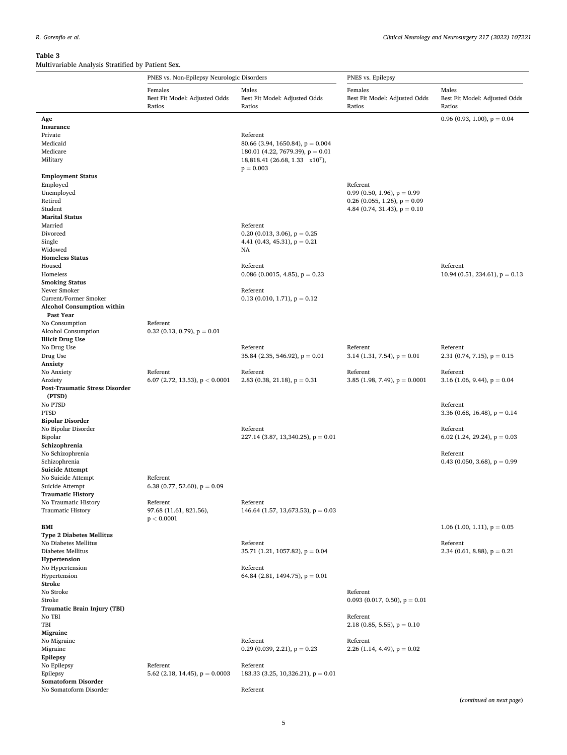<span id="page-4-0"></span>

| Females<br>Males<br>Females<br>Best Fit Model: Adjusted Odds<br>Best Fit Model: Adjusted Odds<br>Best Fit Model: Adjusted Odds<br>Ratios<br>Ratios<br>Ratios<br>Age<br>Insurance<br>Private<br>Referent<br>Medicaid<br>80.66 (3.94, 1650.84), $p = 0.004$<br>Medicare<br>180.01 (4.22, 7679.39), $p = 0.01$<br>Military<br>$18,818.41$ (26.68, 1.33 x10 <sup>7</sup> ),<br>$p = 0.003$<br><b>Employment Status</b><br>Referent<br>Employed<br>0.99 (0.50, 1.96), $p = 0.99$<br>Unemployed<br>Retired<br>0.26 (0.055, 1.26), $p = 0.09$<br>Student<br>4.84 (0.74, 31.43), $p = 0.10$<br><b>Marital Status</b><br>Married<br>Referent<br>0.20 (0.013, 3.06), $p = 0.25$<br>Divorced<br>Single<br>4.41 (0.43, 45.31), $p = 0.21$<br>Widowed<br>NA<br><b>Homeless Status</b><br>Housed<br>Referent<br>Homeless<br>0.086 (0.0015, 4.85), $p = 0.23$<br><b>Smoking Status</b><br>Never Smoker<br>Referent<br>Current/Former Smoker<br>0.13 (0.010, 1.71), $p = 0.12$<br><b>Alcohol Consumption within</b><br>Past Year<br>No Consumption<br>Referent<br>Alcohol Consumption<br>$0.32$ (0.13, 0.79), $p = 0.01$<br><b>Illicit Drug Use</b> | Males<br>Best Fit Model: Adjusted Odds<br>Ratios<br>0.96 (0.93, 1.00), $p = 0.04$<br>Referent<br>10.94 (0.51, 234.61), $p = 0.13$ |
|-------------------------------------------------------------------------------------------------------------------------------------------------------------------------------------------------------------------------------------------------------------------------------------------------------------------------------------------------------------------------------------------------------------------------------------------------------------------------------------------------------------------------------------------------------------------------------------------------------------------------------------------------------------------------------------------------------------------------------------------------------------------------------------------------------------------------------------------------------------------------------------------------------------------------------------------------------------------------------------------------------------------------------------------------------------------------------------------------------------------------------------|-----------------------------------------------------------------------------------------------------------------------------------|
|                                                                                                                                                                                                                                                                                                                                                                                                                                                                                                                                                                                                                                                                                                                                                                                                                                                                                                                                                                                                                                                                                                                                     |                                                                                                                                   |
|                                                                                                                                                                                                                                                                                                                                                                                                                                                                                                                                                                                                                                                                                                                                                                                                                                                                                                                                                                                                                                                                                                                                     |                                                                                                                                   |
|                                                                                                                                                                                                                                                                                                                                                                                                                                                                                                                                                                                                                                                                                                                                                                                                                                                                                                                                                                                                                                                                                                                                     |                                                                                                                                   |
|                                                                                                                                                                                                                                                                                                                                                                                                                                                                                                                                                                                                                                                                                                                                                                                                                                                                                                                                                                                                                                                                                                                                     |                                                                                                                                   |
|                                                                                                                                                                                                                                                                                                                                                                                                                                                                                                                                                                                                                                                                                                                                                                                                                                                                                                                                                                                                                                                                                                                                     |                                                                                                                                   |
|                                                                                                                                                                                                                                                                                                                                                                                                                                                                                                                                                                                                                                                                                                                                                                                                                                                                                                                                                                                                                                                                                                                                     |                                                                                                                                   |
|                                                                                                                                                                                                                                                                                                                                                                                                                                                                                                                                                                                                                                                                                                                                                                                                                                                                                                                                                                                                                                                                                                                                     |                                                                                                                                   |
|                                                                                                                                                                                                                                                                                                                                                                                                                                                                                                                                                                                                                                                                                                                                                                                                                                                                                                                                                                                                                                                                                                                                     |                                                                                                                                   |
|                                                                                                                                                                                                                                                                                                                                                                                                                                                                                                                                                                                                                                                                                                                                                                                                                                                                                                                                                                                                                                                                                                                                     |                                                                                                                                   |
|                                                                                                                                                                                                                                                                                                                                                                                                                                                                                                                                                                                                                                                                                                                                                                                                                                                                                                                                                                                                                                                                                                                                     |                                                                                                                                   |
|                                                                                                                                                                                                                                                                                                                                                                                                                                                                                                                                                                                                                                                                                                                                                                                                                                                                                                                                                                                                                                                                                                                                     |                                                                                                                                   |
|                                                                                                                                                                                                                                                                                                                                                                                                                                                                                                                                                                                                                                                                                                                                                                                                                                                                                                                                                                                                                                                                                                                                     |                                                                                                                                   |
|                                                                                                                                                                                                                                                                                                                                                                                                                                                                                                                                                                                                                                                                                                                                                                                                                                                                                                                                                                                                                                                                                                                                     |                                                                                                                                   |
|                                                                                                                                                                                                                                                                                                                                                                                                                                                                                                                                                                                                                                                                                                                                                                                                                                                                                                                                                                                                                                                                                                                                     |                                                                                                                                   |
|                                                                                                                                                                                                                                                                                                                                                                                                                                                                                                                                                                                                                                                                                                                                                                                                                                                                                                                                                                                                                                                                                                                                     |                                                                                                                                   |
|                                                                                                                                                                                                                                                                                                                                                                                                                                                                                                                                                                                                                                                                                                                                                                                                                                                                                                                                                                                                                                                                                                                                     |                                                                                                                                   |
|                                                                                                                                                                                                                                                                                                                                                                                                                                                                                                                                                                                                                                                                                                                                                                                                                                                                                                                                                                                                                                                                                                                                     |                                                                                                                                   |
|                                                                                                                                                                                                                                                                                                                                                                                                                                                                                                                                                                                                                                                                                                                                                                                                                                                                                                                                                                                                                                                                                                                                     |                                                                                                                                   |
|                                                                                                                                                                                                                                                                                                                                                                                                                                                                                                                                                                                                                                                                                                                                                                                                                                                                                                                                                                                                                                                                                                                                     |                                                                                                                                   |
|                                                                                                                                                                                                                                                                                                                                                                                                                                                                                                                                                                                                                                                                                                                                                                                                                                                                                                                                                                                                                                                                                                                                     |                                                                                                                                   |
|                                                                                                                                                                                                                                                                                                                                                                                                                                                                                                                                                                                                                                                                                                                                                                                                                                                                                                                                                                                                                                                                                                                                     |                                                                                                                                   |
|                                                                                                                                                                                                                                                                                                                                                                                                                                                                                                                                                                                                                                                                                                                                                                                                                                                                                                                                                                                                                                                                                                                                     |                                                                                                                                   |
|                                                                                                                                                                                                                                                                                                                                                                                                                                                                                                                                                                                                                                                                                                                                                                                                                                                                                                                                                                                                                                                                                                                                     |                                                                                                                                   |
|                                                                                                                                                                                                                                                                                                                                                                                                                                                                                                                                                                                                                                                                                                                                                                                                                                                                                                                                                                                                                                                                                                                                     |                                                                                                                                   |
|                                                                                                                                                                                                                                                                                                                                                                                                                                                                                                                                                                                                                                                                                                                                                                                                                                                                                                                                                                                                                                                                                                                                     |                                                                                                                                   |
|                                                                                                                                                                                                                                                                                                                                                                                                                                                                                                                                                                                                                                                                                                                                                                                                                                                                                                                                                                                                                                                                                                                                     |                                                                                                                                   |
|                                                                                                                                                                                                                                                                                                                                                                                                                                                                                                                                                                                                                                                                                                                                                                                                                                                                                                                                                                                                                                                                                                                                     |                                                                                                                                   |
|                                                                                                                                                                                                                                                                                                                                                                                                                                                                                                                                                                                                                                                                                                                                                                                                                                                                                                                                                                                                                                                                                                                                     |                                                                                                                                   |
| No Drug Use<br>Referent<br>Referent                                                                                                                                                                                                                                                                                                                                                                                                                                                                                                                                                                                                                                                                                                                                                                                                                                                                                                                                                                                                                                                                                                 | Referent                                                                                                                          |
| Drug Use<br>35.84 (2.35, 546.92), $p = 0.01$<br>3.14 (1.31, 7.54), $p = 0.01$                                                                                                                                                                                                                                                                                                                                                                                                                                                                                                                                                                                                                                                                                                                                                                                                                                                                                                                                                                                                                                                       | 2.31 (0.74, 7.15), $p = 0.15$                                                                                                     |
| Anxiety                                                                                                                                                                                                                                                                                                                                                                                                                                                                                                                                                                                                                                                                                                                                                                                                                                                                                                                                                                                                                                                                                                                             |                                                                                                                                   |
| No Anxiety<br>Referent<br>Referent<br>Referent                                                                                                                                                                                                                                                                                                                                                                                                                                                                                                                                                                                                                                                                                                                                                                                                                                                                                                                                                                                                                                                                                      | Referent                                                                                                                          |
| 2.83 (0.38, 21.18), $p = 0.31$<br>3.85 (1.98, 7.49), $p = 0.0001$<br>Anxiety                                                                                                                                                                                                                                                                                                                                                                                                                                                                                                                                                                                                                                                                                                                                                                                                                                                                                                                                                                                                                                                        |                                                                                                                                   |
| 6.07 (2.72, 13.53), $p < 0.0001$<br><b>Post-Traumatic Stress Disorder</b>                                                                                                                                                                                                                                                                                                                                                                                                                                                                                                                                                                                                                                                                                                                                                                                                                                                                                                                                                                                                                                                           | 3.16 (1.06, 9.44), $p = 0.04$                                                                                                     |
|                                                                                                                                                                                                                                                                                                                                                                                                                                                                                                                                                                                                                                                                                                                                                                                                                                                                                                                                                                                                                                                                                                                                     |                                                                                                                                   |
| (PTSD)                                                                                                                                                                                                                                                                                                                                                                                                                                                                                                                                                                                                                                                                                                                                                                                                                                                                                                                                                                                                                                                                                                                              |                                                                                                                                   |
| No PTSD                                                                                                                                                                                                                                                                                                                                                                                                                                                                                                                                                                                                                                                                                                                                                                                                                                                                                                                                                                                                                                                                                                                             | Referent                                                                                                                          |
| <b>PTSD</b>                                                                                                                                                                                                                                                                                                                                                                                                                                                                                                                                                                                                                                                                                                                                                                                                                                                                                                                                                                                                                                                                                                                         | 3.36 (0.68, 16.48), $p = 0.14$                                                                                                    |
| <b>Bipolar Disorder</b>                                                                                                                                                                                                                                                                                                                                                                                                                                                                                                                                                                                                                                                                                                                                                                                                                                                                                                                                                                                                                                                                                                             |                                                                                                                                   |
| No Bipolar Disorder<br>Referent                                                                                                                                                                                                                                                                                                                                                                                                                                                                                                                                                                                                                                                                                                                                                                                                                                                                                                                                                                                                                                                                                                     | Referent                                                                                                                          |
| Bipolar<br>227.14 (3.87, 13,340.25), $p = 0.01$                                                                                                                                                                                                                                                                                                                                                                                                                                                                                                                                                                                                                                                                                                                                                                                                                                                                                                                                                                                                                                                                                     | 6.02 (1.24, 29.24), $p = 0.03$                                                                                                    |
| Schizophrenia                                                                                                                                                                                                                                                                                                                                                                                                                                                                                                                                                                                                                                                                                                                                                                                                                                                                                                                                                                                                                                                                                                                       |                                                                                                                                   |
| No Schizophrenia                                                                                                                                                                                                                                                                                                                                                                                                                                                                                                                                                                                                                                                                                                                                                                                                                                                                                                                                                                                                                                                                                                                    | Referent                                                                                                                          |
| Schizophrenia                                                                                                                                                                                                                                                                                                                                                                                                                                                                                                                                                                                                                                                                                                                                                                                                                                                                                                                                                                                                                                                                                                                       | 0.43 (0.050, 3.68), $p = 0.99$                                                                                                    |
| <b>Suicide Attempt</b>                                                                                                                                                                                                                                                                                                                                                                                                                                                                                                                                                                                                                                                                                                                                                                                                                                                                                                                                                                                                                                                                                                              |                                                                                                                                   |
| No Suicide Attempt<br>Referent                                                                                                                                                                                                                                                                                                                                                                                                                                                                                                                                                                                                                                                                                                                                                                                                                                                                                                                                                                                                                                                                                                      |                                                                                                                                   |
| Suicide Attempt<br>6.38 (0.77, 52.60), $p = 0.09$                                                                                                                                                                                                                                                                                                                                                                                                                                                                                                                                                                                                                                                                                                                                                                                                                                                                                                                                                                                                                                                                                   |                                                                                                                                   |
| <b>Traumatic History</b>                                                                                                                                                                                                                                                                                                                                                                                                                                                                                                                                                                                                                                                                                                                                                                                                                                                                                                                                                                                                                                                                                                            |                                                                                                                                   |
| No Traumatic History<br>Referent<br>Referent                                                                                                                                                                                                                                                                                                                                                                                                                                                                                                                                                                                                                                                                                                                                                                                                                                                                                                                                                                                                                                                                                        |                                                                                                                                   |
| 97.68 (11.61, 821.56),<br>146.64 (1.57, 13,673.53), $p = 0.03$<br><b>Traumatic History</b>                                                                                                                                                                                                                                                                                                                                                                                                                                                                                                                                                                                                                                                                                                                                                                                                                                                                                                                                                                                                                                          |                                                                                                                                   |
| p < 0.0001                                                                                                                                                                                                                                                                                                                                                                                                                                                                                                                                                                                                                                                                                                                                                                                                                                                                                                                                                                                                                                                                                                                          |                                                                                                                                   |
| <b>BMI</b>                                                                                                                                                                                                                                                                                                                                                                                                                                                                                                                                                                                                                                                                                                                                                                                                                                                                                                                                                                                                                                                                                                                          | 1.06 (1.00, 1.11), $p = 0.05$                                                                                                     |
| <b>Type 2 Diabetes Mellitus</b>                                                                                                                                                                                                                                                                                                                                                                                                                                                                                                                                                                                                                                                                                                                                                                                                                                                                                                                                                                                                                                                                                                     |                                                                                                                                   |
| No Diabetes Mellitus<br>Referent                                                                                                                                                                                                                                                                                                                                                                                                                                                                                                                                                                                                                                                                                                                                                                                                                                                                                                                                                                                                                                                                                                    | Referent                                                                                                                          |
| Diabetes Mellitus<br>35.71 (1.21, 1057.82), $p = 0.04$                                                                                                                                                                                                                                                                                                                                                                                                                                                                                                                                                                                                                                                                                                                                                                                                                                                                                                                                                                                                                                                                              | 2.34 (0.61, 8.88), $p = 0.21$                                                                                                     |
| Hypertension                                                                                                                                                                                                                                                                                                                                                                                                                                                                                                                                                                                                                                                                                                                                                                                                                                                                                                                                                                                                                                                                                                                        |                                                                                                                                   |
| No Hypertension<br>Referent                                                                                                                                                                                                                                                                                                                                                                                                                                                                                                                                                                                                                                                                                                                                                                                                                                                                                                                                                                                                                                                                                                         |                                                                                                                                   |
| Hypertension<br>64.84 (2.81, 1494.75), $p = 0.01$                                                                                                                                                                                                                                                                                                                                                                                                                                                                                                                                                                                                                                                                                                                                                                                                                                                                                                                                                                                                                                                                                   |                                                                                                                                   |
| Stroke                                                                                                                                                                                                                                                                                                                                                                                                                                                                                                                                                                                                                                                                                                                                                                                                                                                                                                                                                                                                                                                                                                                              |                                                                                                                                   |
| No Stroke<br>Referent                                                                                                                                                                                                                                                                                                                                                                                                                                                                                                                                                                                                                                                                                                                                                                                                                                                                                                                                                                                                                                                                                                               |                                                                                                                                   |
| Stroke<br>0.093 (0.017, 0.50), $p = 0.01$                                                                                                                                                                                                                                                                                                                                                                                                                                                                                                                                                                                                                                                                                                                                                                                                                                                                                                                                                                                                                                                                                           |                                                                                                                                   |
| Traumatic Brain Injury (TBI)                                                                                                                                                                                                                                                                                                                                                                                                                                                                                                                                                                                                                                                                                                                                                                                                                                                                                                                                                                                                                                                                                                        |                                                                                                                                   |
| Referent<br>No TBI                                                                                                                                                                                                                                                                                                                                                                                                                                                                                                                                                                                                                                                                                                                                                                                                                                                                                                                                                                                                                                                                                                                  |                                                                                                                                   |
| TBI<br>2.18 (0.85, 5.55), $p = 0.10$                                                                                                                                                                                                                                                                                                                                                                                                                                                                                                                                                                                                                                                                                                                                                                                                                                                                                                                                                                                                                                                                                                |                                                                                                                                   |
| Migraine                                                                                                                                                                                                                                                                                                                                                                                                                                                                                                                                                                                                                                                                                                                                                                                                                                                                                                                                                                                                                                                                                                                            |                                                                                                                                   |
| Referent<br>Referent<br>No Migraine                                                                                                                                                                                                                                                                                                                                                                                                                                                                                                                                                                                                                                                                                                                                                                                                                                                                                                                                                                                                                                                                                                 |                                                                                                                                   |
| Migraine<br>0.29 (0.039, 2.21), $p = 0.23$<br>2.26 (1.14, 4.49), $p = 0.02$                                                                                                                                                                                                                                                                                                                                                                                                                                                                                                                                                                                                                                                                                                                                                                                                                                                                                                                                                                                                                                                         |                                                                                                                                   |
| Epilepsy                                                                                                                                                                                                                                                                                                                                                                                                                                                                                                                                                                                                                                                                                                                                                                                                                                                                                                                                                                                                                                                                                                                            |                                                                                                                                   |
| No Epilepsy<br>Referent<br>Referent                                                                                                                                                                                                                                                                                                                                                                                                                                                                                                                                                                                                                                                                                                                                                                                                                                                                                                                                                                                                                                                                                                 |                                                                                                                                   |
| Epilepsy<br>183.33 (3.25, 10,326.21), $p = 0.01$<br>5.62 (2.18, 14.45), $p = 0.0003$                                                                                                                                                                                                                                                                                                                                                                                                                                                                                                                                                                                                                                                                                                                                                                                                                                                                                                                                                                                                                                                |                                                                                                                                   |
| Somatoform Disorder                                                                                                                                                                                                                                                                                                                                                                                                                                                                                                                                                                                                                                                                                                                                                                                                                                                                                                                                                                                                                                                                                                                 |                                                                                                                                   |

No Somatoform Disorder Referent Referent Referent Referent Referent Referent Referent

(*continued on next page*)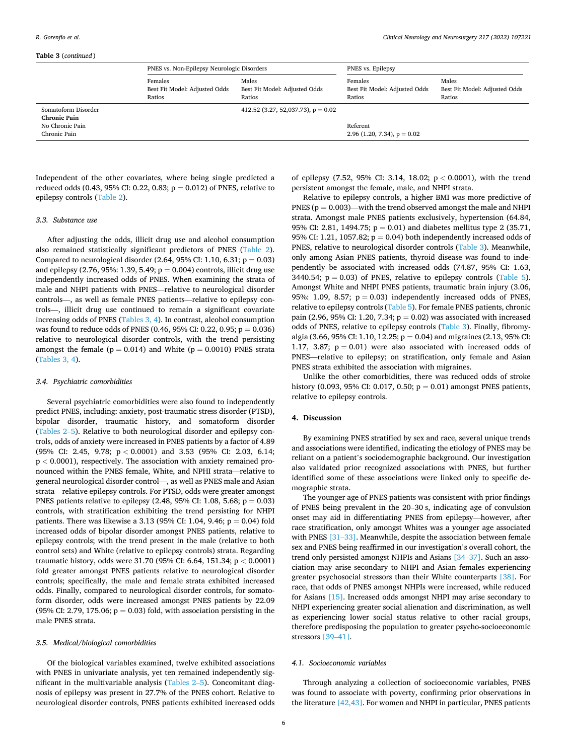#### **Table 3** (*continued* )

|                                                                               | PNES vs. Non-Epilepsy Neurologic Disorders         |                                                  | PNES vs. Epilepsy                                  |                                                  |  |  |
|-------------------------------------------------------------------------------|----------------------------------------------------|--------------------------------------------------|----------------------------------------------------|--------------------------------------------------|--|--|
|                                                                               | Females<br>Best Fit Model: Adjusted Odds<br>Ratios | Males<br>Best Fit Model: Adjusted Odds<br>Ratios | Females<br>Best Fit Model: Adjusted Odds<br>Ratios | Males<br>Best Fit Model: Adjusted Odds<br>Ratios |  |  |
| Somatoform Disorder<br><b>Chronic Pain</b><br>No Chronic Pain<br>Chronic Pain |                                                    | 412.52 (3.27, 52,037.73), $p = 0.02$             | Referent<br>2.96 (1.20, 7.34), $p = 0.02$          |                                                  |  |  |

Independent of the other covariates, where being single predicted a reduced odds (0.43, 95% CI: 0.22, 0.83;  $p = 0.012$ ) of PNES, relative to epilepsy controls ([Table 2\)](#page-3-0).

#### *3.3. Substance use*

After adjusting the odds, illicit drug use and alcohol consumption also remained statistically significant predictors of PNES [\(Table 2](#page-3-0)). Compared to neurological disorder  $(2.64, 95\% \text{ CI: } 1.10, 6.31; \text{p} = 0.03)$ and epilepsy (2.76, 95%: 1.39, 5.49;  $p = 0.004$ ) controls, illicit drug use independently increased odds of PNES. When examining the strata of male and NHPI patients with PNES—relative to neurological disorder controls—, as well as female PNES patients—relative to epilepsy controls—, illicit drug use continued to remain a significant covariate increasing odds of PNES ([Tables 3, 4\)](#page-4-0). In contrast, alcohol consumption was found to reduce odds of PNES (0.46, 95% CI: 0.22, 0.95;  $p = 0.036$ ) relative to neurological disorder controls, with the trend persisting amongst the female ( $p = 0.014$ ) and White ( $p = 0.0010$ ) PNES strata ([Tables 3, 4](#page-4-0)).

#### *3.4. Psychiatric comorbidities*

Several psychiatric comorbidities were also found to independently predict PNES, including: anxiety, post-traumatic stress disorder (PTSD), bipolar disorder, traumatic history, and somatoform disorder ([Tables 2](#page-3-0)–5). Relative to both neurological disorder and epilepsy controls, odds of anxiety were increased in PNES patients by a factor of 4.89 (95% CI: 2.45, 9.78; p *<* 0.0001) and 3.53 (95% CI: 2.03, 6.14; p *<* 0.0001), respectively. The association with anxiety remained pronounced within the PNES female, White, and NPHI strata—relative to general neurological disorder control—, as well as PNES male and Asian strata—relative epilepsy controls. For PTSD, odds were greater amongst PNES patients relative to epilepsy  $(2.48, 95\% \text{ CI: } 1.08, 5.68; p = 0.03)$ controls, with stratification exhibiting the trend persisting for NHPI patients. There was likewise a 3.13 (95% CI: 1.04, 9.46;  $p = 0.04$ ) fold increased odds of bipolar disorder amongst PNES patients, relative to epilepsy controls; with the trend present in the male (relative to both control sets) and White (relative to epilepsy controls) strata. Regarding traumatic history, odds were 31.70 (95% CI: 6.64, 151.34; p *<* 0.0001) fold greater amongst PNES patients relative to neurological disorder controls; specifically, the male and female strata exhibited increased odds. Finally, compared to neurological disorder controls, for somatoform disorder, odds were increased amongst PNES patients by 22.09 (95% CI: 2.79, 175.06;  $p = 0.03$ ) fold, with association persisting in the male PNES strata.

#### *3.5. Medical/biological comorbidities*

Of the biological variables examined, twelve exhibited associations with PNES in univariate analysis, yet ten remained independently significant in the multivariable analysis [\(Tables 2](#page-3-0)–5). Concomitant diagnosis of epilepsy was present in 27.7% of the PNES cohort. Relative to neurological disorder controls, PNES patients exhibited increased odds of epilepsy (7.52, 95% CI: 3.14, 18.02; p *<* 0.0001), with the trend persistent amongst the female, male, and NHPI strata.

Relative to epilepsy controls, a higher BMI was more predictive of PNES ( $p = 0.003$ )—with the trend observed amongst the male and NHPI strata. Amongst male PNES patients exclusively, hypertension (64.84, 95% CI: 2.81, 1494.75;  $p = 0.01$ ) and diabetes mellitus type 2 (35.71, 95% CI: 1.21, 1057.82;  $p = 0.04$ ) both independently increased odds of PNES, relative to neurological disorder controls ([Table 3\)](#page-4-0). Meanwhile, only among Asian PNES patients, thyroid disease was found to independently be associated with increased odds (74.87, 95% CI: 1.63, 3440.54;  $p = 0.03$ ) of PNES, relative to epilepsy controls ([Table 5](#page-7-0)). Amongst White and NHPI PNES patients, traumatic brain injury (3.06, 95%: 1.09, 8.57;  $p = 0.03$  independently increased odds of PNES. relative to epilepsy controls [\(Table 5\)](#page-7-0). For female PNES patients, chronic pain (2.96, 95% CI: 1.20, 7.34;  $p = 0.02$ ) was associated with increased odds of PNES, relative to epilepsy controls ([Table 3](#page-4-0)). Finally, fibromyalgia (3.66, 95% CI: 1.10, 12.25;  $p = 0.04$ ) and migraines (2.13, 95% CI: 1.17, 3.87;  $p = 0.01$ ) were also associated with increased odds of PNES—relative to epilepsy; on stratification, only female and Asian PNES strata exhibited the association with migraines.

Unlike the other comorbidities, there was reduced odds of stroke history (0.093, 95% CI: 0.017, 0.50;  $p = 0.01$ ) amongst PNES patients, relative to epilepsy controls.

# **4. Discussion**

By examining PNES stratified by sex and race, several unique trends and associations were identified, indicating the etiology of PNES may be reliant on a patient's sociodemographic background. Our investigation also validated prior recognized associations with PNES, but further identified some of these associations were linked only to specific demographic strata.

The younger age of PNES patients was consistent with prior findings of PNES being prevalent in the 20–30 s, indicating age of convulsion onset may aid in differentiating PNES from epilepsy—however, after race stratification, only amongst Whites was a younger age associated with PNES [31-[33\]](#page-12-0). Meanwhile, despite the association between female sex and PNES being reaffirmed in our investigation's overall cohort, the trend only persisted amongst NHPIs and Asians [\[34](#page-12-0)–37]. Such an association may arise secondary to NHPI and Asian females experiencing greater psychosocial stressors than their White counterparts [\[38\].](#page-12-0) For race, that odds of PNES amongst NHPIs were increased, while reduced for Asians [\[15\].](#page-11-0) Increased odds amongst NHPI may arise secondary to NHPI experiencing greater social alienation and discrimination, as well as experiencing lower social status relative to other racial groups, therefore predisposing the population to greater psycho-socioeconomic stressors [39–[41\].](#page-12-0)

#### *4.1. Socioeconomic variables*

Through analyzing a collection of socioeconomic variables, PNES was found to associate with poverty, confirming prior observations in the literature [\[42,43\]](#page-12-0). For women and NHPI in particular, PNES patients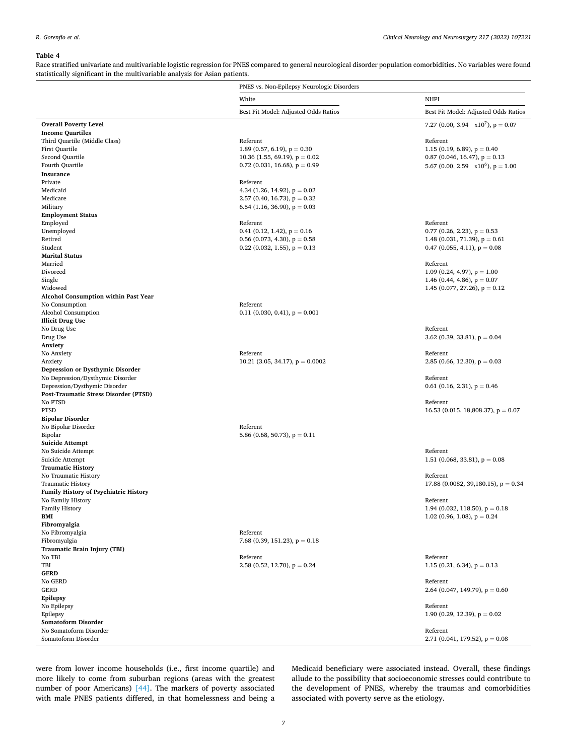<span id="page-6-0"></span>Race stratified univariate and multivariable logistic regression for PNES compared to general neurological disorder population comorbidities. No variables were found statistically significant in the multivariable analysis for Asian patients.

|                                                                        | PNES vs. Non-Epilepsy Neurologic Disorders |                                        |
|------------------------------------------------------------------------|--------------------------------------------|----------------------------------------|
|                                                                        | White                                      | <b>NHPI</b>                            |
|                                                                        | Best Fit Model: Adjusted Odds Ratios       | Best Fit Model: Adjusted Odds Ratios   |
| <b>Overall Poverty Level</b>                                           |                                            | 7.27 (0.00, 3.94 $x10^7$ ), p = 0.07   |
| <b>Income Quartiles</b>                                                |                                            |                                        |
| Third Quartile (Middle Class)                                          | Referent                                   | Referent                               |
| First Quartile                                                         | 1.89 (0.57, 6.19), $p = 0.30$              | 1.15 (0.19, 6.89), $p = 0.40$          |
| Second Quartile                                                        | 10.36 (1.55, 69.19), $p = 0.02$            | $0.87$ (0.046, 16.47), $p = 0.13$      |
| Fourth Quartile                                                        | 0.72 (0.031, 16.68), $p = 0.99$            | 5.67 (0.00, 2.59 $x10^6$ ), $p = 1.00$ |
| Insurance                                                              |                                            |                                        |
| Private                                                                | Referent                                   |                                        |
| Medicaid                                                               | 4.34 (1.26, 14.92), $p = 0.02$             |                                        |
| Medicare                                                               | 2.57 (0.40, 16.73), $p = 0.32$             |                                        |
| Military                                                               | 6.54 (1.16, 36.90), $p = 0.03$             |                                        |
| <b>Employment Status</b>                                               |                                            |                                        |
| Employed                                                               | Referent                                   | Referent                               |
| Unemployed                                                             | 0.41 (0.12, 1.42), $p = 0.16$              | $0.77$ (0.26, 2.23), $p = 0.53$        |
| Retired                                                                | 0.56 (0.073, 4.30), $p = 0.58$             | 1.48 (0.031, 71.39), $p = 0.61$        |
| Student                                                                | 0.22 (0.032, 1.55), $p = 0.13$             | 0.47 (0.055, 4.11), $p = 0.08$         |
| <b>Marital Status</b>                                                  |                                            |                                        |
| Married                                                                |                                            | Referent                               |
| Divorced                                                               |                                            | 1.09 (0.24, 4.97), $p = 1.00$          |
| Single                                                                 |                                            | 1.46 (0.44, 4.86), $p = 0.07$          |
| Widowed                                                                |                                            | 1.45 (0.077, 27.26), $p = 0.12$        |
| Alcohol Consumption within Past Year                                   |                                            |                                        |
| No Consumption                                                         | Referent                                   |                                        |
| Alcohol Consumption                                                    | 0.11 (0.030, 0.41), $p = 0.001$            |                                        |
| <b>Illicit Drug Use</b>                                                |                                            |                                        |
| No Drug Use                                                            |                                            | Referent                               |
| Drug Use                                                               |                                            | 3.62 (0.39, 33.81), $p = 0.04$         |
| Anxiety                                                                |                                            |                                        |
| No Anxiety                                                             | Referent                                   | Referent                               |
| Anxiety                                                                | 10.21 (3.05, 34.17), $p = 0.0002$          | 2.85 (0.66, 12.30), $p = 0.03$         |
| Depression or Dysthymic Disorder                                       |                                            |                                        |
| No Depression/Dysthymic Disorder                                       |                                            | Referent                               |
| Depression/Dysthymic Disorder<br>Post-Traumatic Stress Disorder (PTSD) |                                            | 0.61 (0.16, 2.31), $p = 0.46$          |
| No PTSD                                                                |                                            | Referent                               |
| <b>PTSD</b>                                                            |                                            | 16.53 (0.015, 18,808.37), $p = 0.07$   |
| <b>Bipolar Disorder</b>                                                |                                            |                                        |
| No Bipolar Disorder                                                    | Referent                                   |                                        |
| Bipolar                                                                | 5.86 (0.68, 50.73), $p = 0.11$             |                                        |
| <b>Suicide Attempt</b>                                                 |                                            |                                        |
| No Suicide Attempt                                                     |                                            | Referent                               |
| Suicide Attempt                                                        |                                            | 1.51 (0.068, 33.81), $p = 0.08$        |
| <b>Traumatic History</b>                                               |                                            |                                        |
| No Traumatic History                                                   |                                            | Referent                               |
| <b>Traumatic History</b>                                               |                                            | 17.88 (0.0082, 39,180.15), $p = 0.34$  |
| <b>Family History of Psychiatric History</b>                           |                                            |                                        |
| No Family History                                                      |                                            | Referent                               |
| <b>Family History</b>                                                  |                                            | 1.94 (0.032, 118.50), $p = 0.18$       |
| BMI                                                                    |                                            | 1.02 (0.96, 1.08), $p = 0.24$          |
| Fibromyalgia                                                           |                                            |                                        |
| No Fibromyalgia                                                        | Referent                                   |                                        |
| Fibromyalgia                                                           | 7.68 (0.39, 151.23), $p = 0.18$            |                                        |
| Traumatic Brain Injury (TBI)                                           |                                            | Referent                               |
| No TBI<br>TBI                                                          | Referent<br>2.58 (0.52, 12.70), $p = 0.24$ |                                        |
| <b>GERD</b>                                                            |                                            | 1.15 (0.21, 6.34), $p = 0.13$          |
| No GERD                                                                |                                            | Referent                               |
| <b>GERD</b>                                                            |                                            | 2.64 (0.047, 149.79), $p = 0.60$       |
| Epilepsy                                                               |                                            |                                        |
| No Epilepsy                                                            |                                            | Referent                               |
| Epilepsy                                                               |                                            | 1.90 (0.29, 12.39), $p = 0.02$         |
| Somatoform Disorder                                                    |                                            |                                        |
| No Somatoform Disorder                                                 |                                            | Referent                               |
| Somatoform Disorder                                                    |                                            | 2.71 (0.041, 179.52), $p = 0.08$       |

were from lower income households (i.e., first income quartile) and more likely to come from suburban regions (areas with the greatest number of poor Americans) [\[44\].](#page-12-0) The markers of poverty associated with male PNES patients differed, in that homelessness and being a Medicaid beneficiary were associated instead. Overall, these findings allude to the possibility that socioeconomic stresses could contribute to the development of PNES, whereby the traumas and comorbidities associated with poverty serve as the etiology.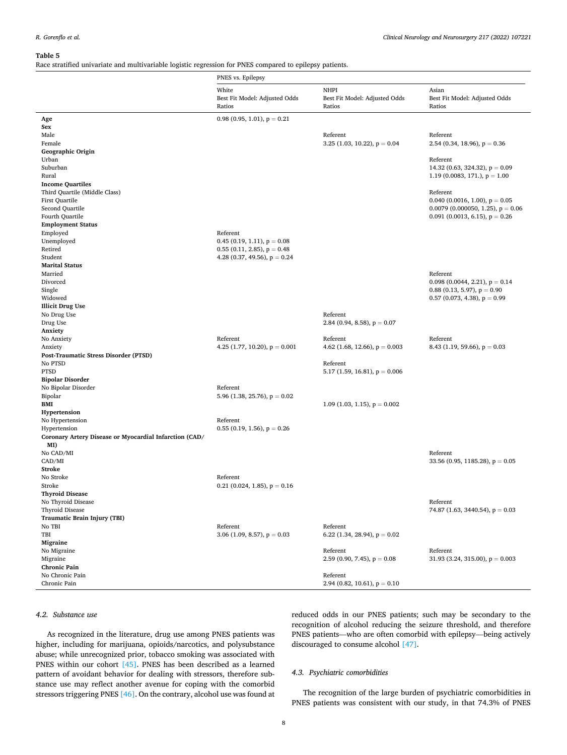<span id="page-7-0"></span>Race stratified univariate and multivariable logistic regression for PNES compared to epilepsy patients.

|                                                               | PNES vs. Epilepsy                                |                                                        |                                                                         |
|---------------------------------------------------------------|--------------------------------------------------|--------------------------------------------------------|-------------------------------------------------------------------------|
|                                                               | White<br>Best Fit Model: Adjusted Odds<br>Ratios | <b>NHPI</b><br>Best Fit Model: Adjusted Odds<br>Ratios | Asian<br>Best Fit Model: Adjusted Odds<br>Ratios                        |
| Age                                                           | 0.98 (0.95, 1.01), $p = 0.21$                    |                                                        |                                                                         |
| Sex                                                           |                                                  |                                                        |                                                                         |
| Male<br>Female                                                |                                                  | Referent<br>3.25 (1.03, 10.22), $p = 0.04$             | Referent<br>2.54 (0.34, 18.96), $p = 0.36$                              |
| Geographic Origin                                             |                                                  |                                                        |                                                                         |
| Urban                                                         |                                                  |                                                        | Referent                                                                |
| Suburban                                                      |                                                  |                                                        | 14.32 (0.63, 324.32), $p = 0.09$                                        |
| Rural                                                         |                                                  |                                                        | 1.19 (0.0083, 171.), $p = 1.00$                                         |
| <b>Income Quartiles</b>                                       |                                                  |                                                        |                                                                         |
| Third Quartile (Middle Class)<br><b>First Quartile</b>        |                                                  |                                                        | Referent                                                                |
| Second Quartile                                               |                                                  |                                                        | 0.040 (0.0016, 1.00), $p = 0.05$<br>0.0079 (0.000050, 1.25), $p = 0.06$ |
| Fourth Quartile                                               |                                                  |                                                        | 0.091 (0.0013, 6.15), $p = 0.26$                                        |
| <b>Employment Status</b>                                      |                                                  |                                                        |                                                                         |
| Employed                                                      | Referent                                         |                                                        |                                                                         |
| Unemployed                                                    | 0.45 (0.19, 1.11), $p = 0.08$                    |                                                        |                                                                         |
| Retired                                                       | $0.55$ (0.11, 2.85), $p = 0.48$                  |                                                        |                                                                         |
| Student<br><b>Marital Status</b>                              | 4.28 (0.37, 49.56), $p = 0.24$                   |                                                        |                                                                         |
| Married                                                       |                                                  |                                                        | Referent                                                                |
| Divorced                                                      |                                                  |                                                        | 0.098 (0.0044, 2.21), $p = 0.14$                                        |
| Single                                                        |                                                  |                                                        | $0.88$ (0.13, 5.97), $p = 0.90$                                         |
| Widowed                                                       |                                                  |                                                        | 0.57 (0.073, 4.38), $p = 0.99$                                          |
| <b>Illicit Drug Use</b>                                       |                                                  |                                                        |                                                                         |
| No Drug Use                                                   |                                                  | Referent                                               |                                                                         |
| Drug Use<br>Anxiety                                           |                                                  | 2.84 (0.94, 8.58), $p = 0.07$                          |                                                                         |
| No Anxiety                                                    | Referent                                         | Referent                                               | Referent                                                                |
| Anxiety                                                       | 4.25 (1.77, 10.20), $p = 0.001$                  | 4.62 (1.68, 12.66), $p = 0.003$                        | 8.43 (1.19, 59.66), $p = 0.03$                                          |
| Post-Traumatic Stress Disorder (PTSD)                         |                                                  |                                                        |                                                                         |
| No PTSD                                                       |                                                  | Referent                                               |                                                                         |
| <b>PTSD</b>                                                   |                                                  | 5.17 (1.59, 16.81), $p = 0.006$                        |                                                                         |
| <b>Bipolar Disorder</b><br>No Bipolar Disorder                | Referent                                         |                                                        |                                                                         |
| Bipolar                                                       | 5.96 (1.38, 25.76), $p = 0.02$                   |                                                        |                                                                         |
| BMI                                                           |                                                  | 1.09 (1.03, 1.15), $p = 0.002$                         |                                                                         |
| Hypertension                                                  |                                                  |                                                        |                                                                         |
| No Hypertension                                               | Referent                                         |                                                        |                                                                         |
| Hypertension                                                  | $0.55$ (0.19, 1.56), $p = 0.26$                  |                                                        |                                                                         |
| Coronary Artery Disease or Myocardial Infarction (CAD/<br>MI) |                                                  |                                                        |                                                                         |
| No CAD/MI                                                     |                                                  |                                                        | Referent                                                                |
| CAD/MI                                                        |                                                  |                                                        | 33.56 (0.95, 1185.28), $p = 0.05$                                       |
| <b>Stroke</b>                                                 |                                                  |                                                        |                                                                         |
| No Stroke                                                     | Referent                                         |                                                        |                                                                         |
| Stroke                                                        | 0.21 (0.024, 1.85), $p = 0.16$                   |                                                        |                                                                         |
| <b>Thyroid Disease</b><br>No Thyroid Disease                  |                                                  |                                                        | Referent                                                                |
| Thyroid Disease                                               |                                                  |                                                        | 74.87 (1.63, 3440.54), $p = 0.03$                                       |
| Traumatic Brain Injury (TBI)                                  |                                                  |                                                        |                                                                         |
| No TBI                                                        | Referent                                         | Referent                                               |                                                                         |
| TBI                                                           | 3.06 (1.09, 8.57), $p = 0.03$                    | 6.22 (1.34, 28.94), $p = 0.02$                         |                                                                         |
| Migraine                                                      |                                                  |                                                        |                                                                         |
| No Migraine<br>Migraine                                       |                                                  | Referent<br>2.59 (0.90, 7.45), $p = 0.08$              | Referent<br>31.93 (3.24, 315.00), $p = 0.003$                           |
| <b>Chronic Pain</b>                                           |                                                  |                                                        |                                                                         |
| No Chronic Pain                                               |                                                  | Referent                                               |                                                                         |
| Chronic Pain                                                  |                                                  | 2.94 (0.82, 10.61), $p = 0.10$                         |                                                                         |

# *4.2. Substance use*

As recognized in the literature, drug use among PNES patients was higher, including for marijuana, opioids/narcotics, and polysubstance abuse; while unrecognized prior, tobacco smoking was associated with PNES within our cohort [\[45\].](#page-12-0) PNES has been described as a learned pattern of avoidant behavior for dealing with stressors, therefore substance use may reflect another avenue for coping with the comorbid stressors triggering PNES [\[46\].](#page-12-0) On the contrary, alcohol use was found at reduced odds in our PNES patients; such may be secondary to the recognition of alcohol reducing the seizure threshold, and therefore PNES patients—who are often comorbid with epilepsy—being actively discouraged to consume alcohol [\[47\]](#page-12-0).

#### *4.3. Psychiatric comorbidities*

The recognition of the large burden of psychiatric comorbidities in PNES patients was consistent with our study, in that 74.3% of PNES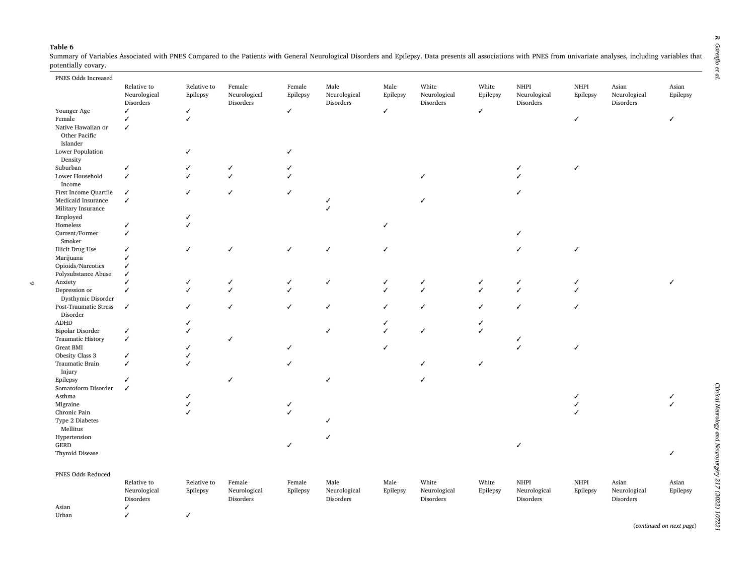$\circ$ 

<span id="page-8-0"></span>Summary of Variables Associated with PNES Compared to the Patients with General Neurological Disorders and Epilepsy. Data presents all associations with PNES from univariate analyses, including variables that potentially covary. 

| PNES Odds Increased                 |              |                          |              |              |              |          |              |          |              |          |              |          |
|-------------------------------------|--------------|--------------------------|--------------|--------------|--------------|----------|--------------|----------|--------------|----------|--------------|----------|
|                                     | Relative to  | Relative to              | Female       | Female       | Male         | Male     | White        | White    | <b>NHPI</b>  | NHPI     | Asian        | Asian    |
|                                     | Neurological | Epilepsy                 | Neurological | Epilepsy     | Neurological | Epilepsy | Neurological | Epilepsy | Neurological | Epilepsy | Neurological | Epilepsy |
|                                     | Disorders    |                          | Disorders    |              | Disorders    |          | Disorders    |          | Disorders    |          | Disorders    |          |
| Younger Age                         | ✓            | ✓                        |              | $\checkmark$ |              | ✓        |              | ✓        |              |          |              |          |
| Female                              | ✓            | ✓                        |              |              |              |          |              |          |              | ✓        |              | ℐ        |
| Native Hawaiian or<br>Other Pacific | ✓            |                          |              |              |              |          |              |          |              |          |              |          |
| Islander                            |              |                          |              |              |              |          |              |          |              |          |              |          |
| Lower Population                    |              | J                        |              | J            |              |          |              |          |              |          |              |          |
| Density                             |              |                          |              |              |              |          |              |          |              |          |              |          |
| Suburban                            | ✓            | ✓                        | √            |              |              |          |              |          |              | ✓        |              |          |
| Lower Household                     | $\checkmark$ |                          | ✓            | $\checkmark$ |              |          |              |          |              |          |              |          |
| Income                              |              |                          |              |              |              |          |              |          |              |          |              |          |
| First Income Quartile               | $\checkmark$ | ✓                        | ✓            | $\checkmark$ |              |          |              |          | ✓            |          |              |          |
| Medicaid Insurance                  | $\checkmark$ |                          |              |              |              |          |              |          |              |          |              |          |
| Military Insurance                  |              |                          |              |              |              |          |              |          |              |          |              |          |
| Employed                            |              | ✓                        |              |              |              |          |              |          |              |          |              |          |
| Homeless                            | ✓            | ✓                        |              |              |              | J        |              |          |              |          |              |          |
| Current/Former                      | $\checkmark$ |                          |              |              |              |          |              |          |              |          |              |          |
| Smoker                              |              |                          |              |              |              |          |              |          |              |          |              |          |
| Illicit Drug Use                    | ✓            | ✓                        |              | ✓            | ✓            |          |              |          |              | ✓        |              |          |
| Marijuana                           | J            |                          |              |              |              |          |              |          |              |          |              |          |
| Opioids/Narcotics                   | ✓            |                          |              |              |              |          |              |          |              |          |              |          |
| Polysubstance Abuse                 | √            |                          |              |              |              |          |              |          |              |          |              |          |
| Anxiety                             | ℐ            |                          |              | ✓            | ✓            |          | √            | ✓        |              |          |              |          |
| Depression or                       | ✓            | ✓                        | ✓            | $\checkmark$ |              |          | ✓            | ✓        |              | J        |              |          |
| Dysthymic Disorder                  | $\checkmark$ | ✓                        | ✓            | $\checkmark$ | ✓            |          | ✓            |          | ℐ            | ℐ        |              |          |
| Post-Traumatic Stress<br>Disorder   |              |                          |              |              |              |          |              | ✓        |              |          |              |          |
| ADHD                                |              | ✓                        |              |              |              |          |              | ✓        |              |          |              |          |
| <b>Bipolar Disorder</b>             | ✓            | $\overline{\mathcal{L}}$ |              |              |              |          | ✓            | ✓        |              |          |              |          |
| <b>Traumatic History</b>            | $\checkmark$ |                          | ✓            |              |              |          |              |          |              |          |              |          |
| <b>Great BMI</b>                    |              |                          |              | ✓            |              | ✓        |              |          |              | ✓        |              |          |
| Obesity Class 3                     | ✓            | ✓                        |              |              |              |          |              |          |              |          |              |          |
| Traumatic Brain                     | ✓            | J                        |              | ✓            |              |          |              | ✓        |              |          |              |          |
| Injury                              |              |                          |              |              |              |          |              |          |              |          |              |          |
| Epilepsy                            | ✓            |                          | ✓            |              |              |          | ✓            |          |              |          |              |          |
| Somatoform Disorder                 | ✓            |                          |              |              |              |          |              |          |              |          |              |          |
| Asthma                              |              |                          |              |              |              |          |              |          |              |          |              |          |
| Migraine                            |              | ✓                        |              | $\checkmark$ |              |          |              |          |              | ✓        |              |          |
| Chronic Pain                        |              | ✓                        |              | $\checkmark$ |              |          |              |          |              |          |              |          |
| Type 2 Diabetes                     |              |                          |              |              |              |          |              |          |              |          |              |          |
| Mellitus                            |              |                          |              |              |              |          |              |          |              |          |              |          |
| Hypertension                        |              |                          |              |              |              |          |              |          |              |          |              |          |
| GERD                                |              |                          |              | $\checkmark$ |              |          |              |          |              |          |              |          |
| Thyroid Disease                     |              |                          |              |              |              |          |              |          |              |          |              | ✓        |
| PNES Odds Reduced                   |              |                          |              |              |              |          |              |          |              |          |              |          |
|                                     | Relative to  | Relative to              | Female       | Female       | Male         | Male     | White        | White    | <b>NHPI</b>  | NHPI     | Asian        | Asian    |
|                                     | Neurological | Epilepsy                 | Neurological | Epilepsy     | Neurological | Epilepsy | Neurological | Epilepsy | Neurological | Epilepsy | Neurological | Epilepsy |
|                                     | Disorders    |                          | Disorders    |              | Disorders    |          | Disorders    |          | Disorders    |          | Disorders    |          |
| Asian                               | ✓            |                          |              |              |              |          |              |          |              |          |              |          |
| Urban                               | ✓            | ✓                        |              |              |              |          |              |          |              |          |              |          |

(*continued on next page*)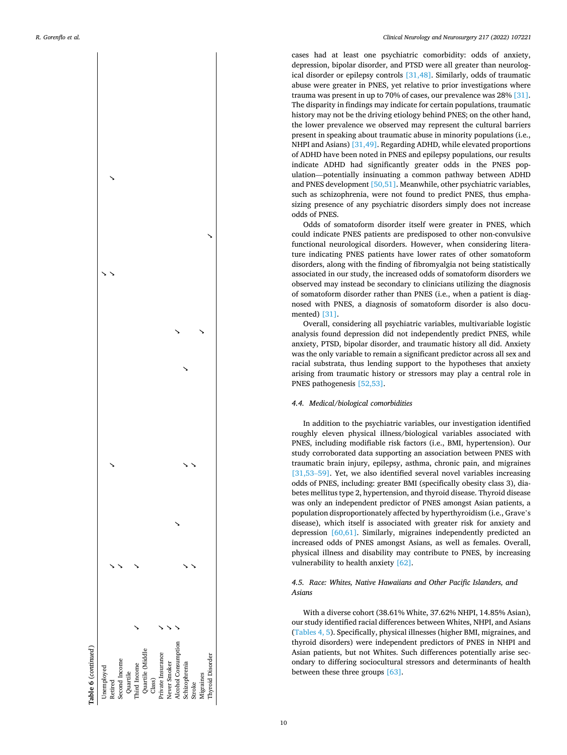

cases had at least one psychiatric comorbidity: odds of anxiety, depression, bipolar disorder, and PTSD were all greater than neurological disorder or epilepsy controls [\[31,48\]](#page-12-0). Similarly, odds of traumatic abuse were greater in PNES, yet relative to prior investigations where trauma was present in up to 70% of cases, our prevalence was 28% [\[31\]](#page-12-0). The disparity in findings may indicate for certain populations, traumatic history may not be the driving etiology behind PNES; on the other hand, the lower prevalence we observed may represent the cultural barriers present in speaking about traumatic abuse in minority populations (i.e., NHPI and Asians) [\[31,49\]](#page-12-0). Regarding ADHD, while elevated proportions of ADHD have been noted in PNES and epilepsy populations, our results indicate ADHD had significantly greater odds in the PNES population—potentially insinuating a common pathway between ADHD and PNES development [\[50,51\]](#page-12-0). Meanwhile, other psychiatric variables, such as schizophrenia, were not found to predict PNES, thus emphasizing presence of any psychiatric disorders simply does not increase odds of PNES.

Odds of somatoform disorder itself were greater in PNES, which could indicate PNES patients are predisposed to other non-convulsive functional neurological disorders. However, when considering literature indicating PNES patients have lower rates of other somatoform disorders, along with the finding of fibromyalgia not being statistically associated in our study, the increased odds of somatoform disorders we observed may instead be secondary to clinicians utilizing the diagnosis of somatoform disorder rather than PNES (i.e., when a patient is diagnosed with PNES, a diagnosis of somatoform disorder is also documented) [\[31\]](#page-12-0).

Overall, considering all psychiatric variables, multivariable logistic analysis found depression did not independently predict PNES, while anxiety, PTSD, bipolar disorder, and traumatic history all did. Anxiety was the only variable to remain a significant predictor across all sex and racial substrata, thus lending support to the hypotheses that anxiety arising from traumatic history or stressors may play a central role in PNES pathogenesis [\[52,53\].](#page-12-0)

#### *4.4. Medical/biological comorbidities*

In addition to the psychiatric variables, our investigation identified roughly eleven physical illness/biological variables associated with PNES, including modifiable risk factors (i.e., BMI, hypertension). Our study corroborated data supporting an association between PNES with traumatic brain injury, epilepsy, asthma, chronic pain, and migraines [\[31,53](#page-12-0)–59]. Yet, we also identified several novel variables increasing odds of PNES, including: greater BMI (specifically obesity class 3), diabetes mellitus type 2, hypertension, and thyroid disease. Thyroid disease was only an independent predictor of PNES amongst Asian patients, a population disproportionately affected by hyperthyroidism (i.e., Grave's disease), which itself is associated with greater risk for anxiety and depression [\[60,61\].](#page-12-0) Similarly, migraines independently predicted an increased odds of PNES amongst Asians, as well as females. Overall, physical illness and disability may contribute to PNES, by increasing vulnerability to health anxiety [\[62\]](#page-12-0).

# *4.5. Race: Whites, Native Hawaiians and Other Pacific Islanders, and Asians*

With a diverse cohort (38.61% White, 37.62% NHPI, 14.85% Asian), our study identified racial differences between Whites, NHPI, and Asians ([Tables 4, 5](#page-6-0)). Specifically, physical illnesses (higher BMI, migraines, and thyroid disorders) were independent predictors of PNES in NHPI and Asian patients, but not Whites. Such differences potentially arise secondary to differing sociocultural stressors and determinants of health between these three groups [\[63\].](#page-12-0)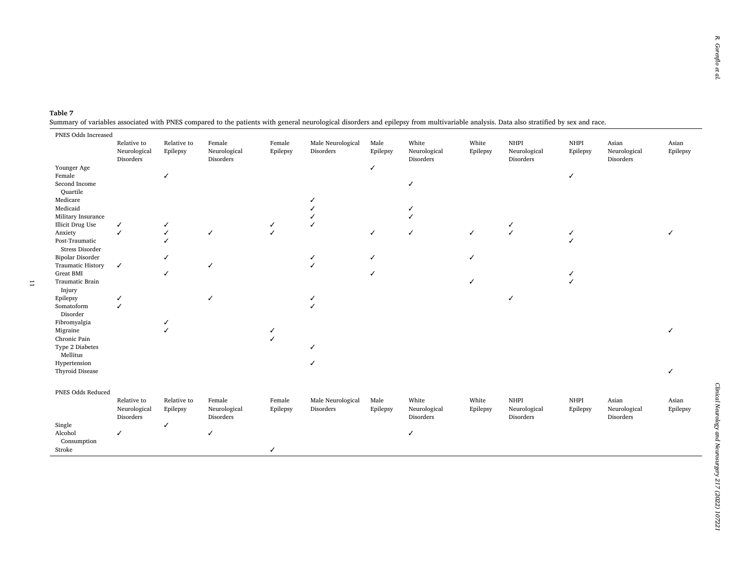# **Table 7**  Summary of variables associated with PNES compared to the patients with general neurological disorders and epilepsy from multivariable analysis. Data also stratified by sex and race.

 $\overline{\phantom{a}}$ 

| $\overline{\phantom{a}}$<br>PNES Odds Increased        |                                          |                         |                                     | ັ                  |                                | $\mathbf{1}$ $\mathbf{1}$ $\mathbf{3}$ |                                    |                   |                                   |                  |                                    |                   |
|--------------------------------------------------------|------------------------------------------|-------------------------|-------------------------------------|--------------------|--------------------------------|----------------------------------------|------------------------------------|-------------------|-----------------------------------|------------------|------------------------------------|-------------------|
|                                                        | Relative to<br>Neurological<br>Disorders | Relative to<br>Epilepsy | Female<br>Neurological<br>Disorders | Female<br>Epilepsy | Male Neurological<br>Disorders | Male<br>Epilepsy                       | White<br>Neurological<br>Disorders | White<br>Epilepsy | NHPI<br>Neurological<br>Disorders | NHPI<br>Epilepsy | Asian<br>Neurological<br>Disorders | Asian<br>Epilepsy |
| Younger Age<br>Female<br>Second Income                 |                                          | $\checkmark$            |                                     |                    |                                | $\checkmark$                           | ✓                                  |                   |                                   | ✓                |                                    |                   |
| Quartile<br>Medicare<br>Medicaid<br>Military Insurance |                                          |                         |                                     |                    |                                |                                        |                                    |                   |                                   |                  |                                    |                   |
| Illicit Drug Use                                       | ✓                                        | ✓                       |                                     | ✓                  |                                |                                        |                                    |                   | ✓                                 |                  |                                    |                   |
| Anxiety                                                | ✓                                        | ✓                       | ✓                                   | ✓                  |                                | ✓                                      | ✓                                  | $\checkmark$      | $\checkmark$                      |                  |                                    |                   |
| Post-Traumatic<br>Stress Disorder                      |                                          |                         |                                     |                    |                                |                                        |                                    |                   |                                   |                  |                                    |                   |
| Bipolar Disorder                                       |                                          |                         |                                     |                    |                                | ℐ                                      |                                    | J                 |                                   |                  |                                    |                   |
| <b>Traumatic History</b>                               | $\checkmark$                             |                         | ✓                                   |                    |                                |                                        |                                    |                   |                                   |                  |                                    |                   |
| <b>Great BMI</b><br>Traumatic Brain                    |                                          | $\checkmark$            |                                     |                    |                                | J                                      |                                    |                   |                                   |                  |                                    |                   |
| Injury                                                 |                                          |                         |                                     |                    |                                |                                        |                                    |                   |                                   |                  |                                    |                   |
| Epilepsy                                               |                                          |                         | ✓                                   |                    |                                |                                        |                                    |                   | J                                 |                  |                                    |                   |
| Somatoform<br>Disorder                                 | $\overline{ }$                           |                         |                                     |                    |                                |                                        |                                    |                   |                                   |                  |                                    |                   |
| Fibromyalgia                                           |                                          | ✓                       |                                     |                    |                                |                                        |                                    |                   |                                   |                  |                                    |                   |
| Migraine                                               |                                          |                         |                                     |                    |                                |                                        |                                    |                   |                                   |                  |                                    |                   |
| Chronic Pain                                           |                                          |                         |                                     |                    |                                |                                        |                                    |                   |                                   |                  |                                    |                   |
| Type 2 Diabetes<br>Mellitus                            |                                          |                         |                                     |                    |                                |                                        |                                    |                   |                                   |                  |                                    |                   |
| Hypertension                                           |                                          |                         |                                     |                    |                                |                                        |                                    |                   |                                   |                  |                                    |                   |
| Thyroid Disease                                        |                                          |                         |                                     |                    |                                |                                        |                                    |                   |                                   |                  |                                    |                   |
| PNES Odds Reduced                                      |                                          |                         |                                     |                    |                                |                                        |                                    |                   |                                   |                  |                                    |                   |
|                                                        | Relative to                              | Relative to             | Female                              | Female             | Male Neurological              | Male                                   | White                              | White             | <b>NHPI</b>                       | NHPI             | Asian                              | Asian             |
|                                                        | Neurological<br>Disorders                | Epilepsy                | Neurological<br>Disorders           | Epilepsy           | Disorders                      | Epilepsy                               | Neurological<br>Disorders          | Epilepsy          | Neurological<br>Disorders         | Epilepsy         | Neurological<br>Disorders          | Epilepsy          |
| Single                                                 |                                          | ✓                       |                                     |                    |                                |                                        |                                    |                   |                                   |                  |                                    |                   |
| Alcohol<br>Consumption                                 | $\checkmark$                             |                         | $\checkmark$                        |                    |                                |                                        | ✓                                  |                   |                                   |                  |                                    |                   |
| Stroke                                                 |                                          |                         |                                     | $\checkmark$       |                                |                                        |                                    |                   |                                   |                  |                                    |                   |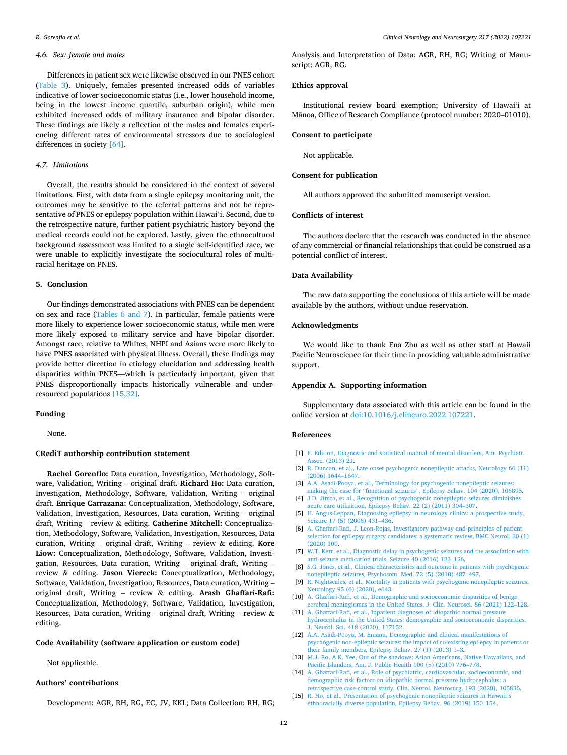# <span id="page-11-0"></span>*4.6. Sex: female and males*

Differences in patient sex were likewise observed in our PNES cohort ([Table 3](#page-4-0)). Uniquely, females presented increased odds of variables indicative of lower socioeconomic status (i.e., lower household income, being in the lowest income quartile, suburban origin), while men exhibited increased odds of military insurance and bipolar disorder. These findings are likely a reflection of the males and females experiencing different rates of environmental stressors due to sociological differences in society [\[64\]](#page-12-0).

#### *4.7. Limitations*

Overall, the results should be considered in the context of several limitations. First, with data from a single epilepsy monitoring unit, the outcomes may be sensitive to the referral patterns and not be representative of PNES or epilepsy population within Hawai'i. Second, due to the retrospective nature, further patient psychiatric history beyond the medical records could not be explored. Lastly, given the ethnocultural background assessment was limited to a single self-identified race, we were unable to explicitly investigate the sociocultural roles of multiracial heritage on PNES.

# **5. Conclusion**

Our findings demonstrated associations with PNES can be dependent on sex and race [\(Tables 6 and 7](#page-8-0)). In particular, female patients were more likely to experience lower socioeconomic status, while men were more likely exposed to military service and have bipolar disorder. Amongst race, relative to Whites, NHPI and Asians were more likely to have PNES associated with physical illness. Overall, these findings may provide better direction in etiology elucidation and addressing health disparities within PNES—which is particularly important, given that PNES disproportionally impacts historically vulnerable and underresourced populations [15,32].

#### **Funding**

None.

## **CRediT authorship contribution statement**

**Rachel Gorenflo:** Data curation, Investigation, Methodology, Software, Validation, Writing – original draft. **Richard Ho:** Data curation, Investigation, Methodology, Software, Validation, Writing – original draft. **Enrique Carrazana:** Conceptualization, Methodology, Software, Validation, Investigation, Resources, Data curation, Writing – original draft, Writing – review & editing. **Catherine Mitchell:** Conceptualization, Methodology, Software, Validation, Investigation, Resources, Data curation, Writing – original draft, Writing – review & editing. **Kore Liow:** Conceptualization, Methodology, Software, Validation, Investigation, Resources, Data curation, Writing – original draft, Writing – review & editing. **Jason Viereck:** Conceptualization, Methodology, Software, Validation, Investigation, Resources, Data curation, Writing – original draft, Writing – review & editing. **Arash Ghaffari-Rafi:**  Conceptualization, Methodology, Software, Validation, Investigation, Resources, Data curation, Writing – original draft, Writing – review  $\&$ editing.

#### **Code Availability (software application or custom code)**

Not applicable.

# **Authors' contributions**

Development: AGR, RH, RG, EC, JV, KKL; Data Collection: RH, RG;

Analysis and Interpretation of Data: AGR, RH, RG; Writing of Manuscript: AGR, RG.

# **Ethics approval**

Institutional review board exemption; University of Hawai'i at Mānoa, Office of Research Compliance (protocol number: 2020-01010).

#### **Consent to participate**

Not applicable.

#### **Consent for publication**

All authors approved the submitted manuscript version.

# **Conflicts of interest**

The authors declare that the research was conducted in the absence of any commercial or financial relationships that could be construed as a potential conflict of interest.

#### **Data Availability**

The raw data supporting the conclusions of this article will be made available by the authors, without undue reservation.

# **Acknowledgments**

We would like to thank Ena Zhu as well as other staff at Hawaii Pacific Neuroscience for their time in providing valuable administrative support.

#### **Appendix A. Supporting information**

Supplementary data associated with this article can be found in the online version at [doi:10.1016/j.clineuro.2022.107221.](https://doi.org/10.1016/j.clineuro.2022.107221)

#### **References**

- [1] [F. Edition, Diagnostic and statistical manual of mental disorders, Am. Psychiatr.](http://refhub.elsevier.com/S0303-8467(22)00102-0/sbref1)  [Assoc. \(2013\) 21](http://refhub.elsevier.com/S0303-8467(22)00102-0/sbref1).
- [2] [R. Duncan, et al., Late onset psychogenic nonepileptic attacks, Neurology 66 \(11\)](http://refhub.elsevier.com/S0303-8467(22)00102-0/sbref2)  [\(2006\) 1644](http://refhub.elsevier.com/S0303-8467(22)00102-0/sbref2)–1647.
- [3] [A.A. Asadi-Pooya, et al., Terminology for psychogenic nonepileptic seizures:](http://refhub.elsevier.com/S0303-8467(22)00102-0/sbref3) making the case for "functional seizures"[, Epilepsy Behav. 104 \(2020\), 106895](http://refhub.elsevier.com/S0303-8467(22)00102-0/sbref3).
- [4] [J.D. Jirsch, et al., Recognition of psychogenic nonepileptic seizures diminishes](http://refhub.elsevier.com/S0303-8467(22)00102-0/sbref4) [acute care utilization, Epilepsy Behav. 22 \(2\) \(2011\) 304](http://refhub.elsevier.com/S0303-8467(22)00102-0/sbref4)–307.
- [5] [H. Angus-Leppan, Diagnosing epilepsy in neurology clinics: a prospective study,](http://refhub.elsevier.com/S0303-8467(22)00102-0/sbref5) [Seizure 17 \(5\) \(2008\) 431](http://refhub.elsevier.com/S0303-8467(22)00102-0/sbref5)–436.
- [6] [A. Ghaffari-Rafi, J. Leon-Rojas, Investigatory pathway and principles of patient](http://refhub.elsevier.com/S0303-8467(22)00102-0/sbref6)  [selection for epilepsy surgery candidates: a systematic review, BMC Neurol. 20 \(1\)](http://refhub.elsevier.com/S0303-8467(22)00102-0/sbref6)  [\(2020\) 100](http://refhub.elsevier.com/S0303-8467(22)00102-0/sbref6).
- [7] [W.T. Kerr, et al., Diagnostic delay in psychogenic seizures and the association with](http://refhub.elsevier.com/S0303-8467(22)00102-0/sbref7)  [anti-seizure medication trials, Seizure 40 \(2016\) 123](http://refhub.elsevier.com/S0303-8467(22)00102-0/sbref7)–126.
- [8] [S.G. Jones, et al., Clinical characteristics and outcome in patients with psychogenic](http://refhub.elsevier.com/S0303-8467(22)00102-0/sbref8)  [nonepileptic seizures, Psychosom. Med. 72 \(5\) \(2010\) 487](http://refhub.elsevier.com/S0303-8467(22)00102-0/sbref8)–497.
- [9] [R. Nightscales, et al., Mortality in patients with psychogenic nonepileptic seizures,](http://refhub.elsevier.com/S0303-8467(22)00102-0/sbref9)  [Neurology 95 \(6\) \(2020\), e643](http://refhub.elsevier.com/S0303-8467(22)00102-0/sbref9).
- [10] A. Ghaffari-Rafi, et al., Demographic and socioeconomic disparities of benign [cerebral meningiomas in the United States, J. Clin. Neurosci. 86 \(2021\) 122](http://refhub.elsevier.com/S0303-8467(22)00102-0/sbref10)–128.
- [11] [A. Ghaffari-Rafi, et al., Inpatient diagnoses of idiopathic normal pressure](http://refhub.elsevier.com/S0303-8467(22)00102-0/sbref11) [hydrocephalus in the United States: demographic and socioeconomic disparities,](http://refhub.elsevier.com/S0303-8467(22)00102-0/sbref11)  [J. Neurol. Sci. 418 \(2020\), 117152.](http://refhub.elsevier.com/S0303-8467(22)00102-0/sbref11)
- [12] [A.A. Asadi-Pooya, M. Emami, Demographic and clinical manifestations of](http://refhub.elsevier.com/S0303-8467(22)00102-0/sbref12) [psychogenic non-epileptic seizures: the impact of co-existing epilepsy in patients or](http://refhub.elsevier.com/S0303-8467(22)00102-0/sbref12)  [their family members, Epilepsy Behav. 27 \(1\) \(2013\) 1](http://refhub.elsevier.com/S0303-8467(22)00102-0/sbref12)–3.
- [13] [M.J. Ro, A.K. Yee, Out of the shadows: Asian Americans, Native Hawaiians, and](http://refhub.elsevier.com/S0303-8467(22)00102-0/sbref13) [Pacific Islanders, Am. J. Public Health 100 \(5\) \(2010\) 776](http://refhub.elsevier.com/S0303-8467(22)00102-0/sbref13)–778.
- [14] [A. Ghaffari-Rafi, et al., Role of psychiatric, cardiovascular, socioeconomic, and](http://refhub.elsevier.com/S0303-8467(22)00102-0/sbref14) [demographic risk factors on idiopathic normal pressure hydrocephalus: a](http://refhub.elsevier.com/S0303-8467(22)00102-0/sbref14)  [retrospective case-control study, Clin. Neurol. Neurosurg. 193 \(2020\), 105836](http://refhub.elsevier.com/S0303-8467(22)00102-0/sbref14).
- [15] [R. Ho, et al., Presentation of psychogenic nonepileptic seizures in Hawaii](http://refhub.elsevier.com/S0303-8467(22)00102-0/sbref15)'s [ethnoracially diverse population, Epilepsy Behav. 96 \(2019\) 150](http://refhub.elsevier.com/S0303-8467(22)00102-0/sbref15)–154.